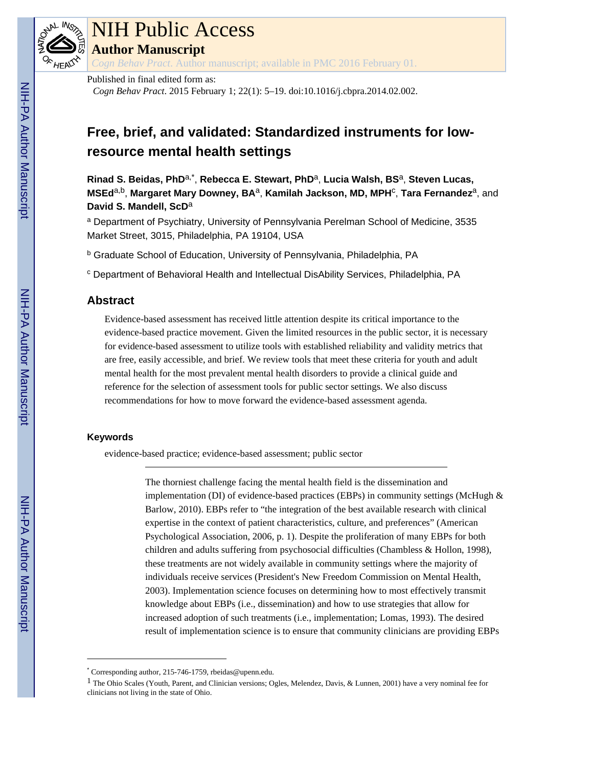

## NIH Public Access

**Author Manuscript**

*Cogn Behav Pract*. Author manuscript; available in PMC 2016 February 01.

Published in final edited form as:

*Cogn Behav Pract*. 2015 February 1; 22(1): 5–19. doi:10.1016/j.cbpra.2014.02.002.

### **Free, brief, and validated: Standardized instruments for lowresource mental health settings**

**Rinad S. Beidas, PhD**a,\* , **Rebecca E. Stewart, PhD**a, **Lucia Walsh, BS**a, **Steven Lucas,**   $MSEd^{a,b}$ , Margaret Mary Downey, BA<sup>a</sup>, Kamilah Jackson, MD, MPH<sup>c</sup>, Tara Fernandez<sup>a</sup>, and **David S. Mandell, ScD**<sup>a</sup>

<sup>a</sup> Department of Psychiatry, University of Pennsylvania Perelman School of Medicine, 3535 Market Street, 3015, Philadelphia, PA 19104, USA

**b Graduate School of Education, University of Pennsylvania, Philadelphia, PA** 

c Department of Behavioral Health and Intellectual DisAbility Services, Philadelphia, PA

#### **Abstract**

Evidence-based assessment has received little attention despite its critical importance to the evidence-based practice movement. Given the limited resources in the public sector, it is necessary for evidence-based assessment to utilize tools with established reliability and validity metrics that are free, easily accessible, and brief. We review tools that meet these criteria for youth and adult mental health for the most prevalent mental health disorders to provide a clinical guide and reference for the selection of assessment tools for public sector settings. We also discuss recommendations for how to move forward the evidence-based assessment agenda.

#### **Keywords**

evidence-based practice; evidence-based assessment; public sector

The thorniest challenge facing the mental health field is the dissemination and implementation (DI) of evidence-based practices (EBPs) in community settings (McHugh  $\&$ Barlow, 2010). EBPs refer to "the integration of the best available research with clinical expertise in the context of patient characteristics, culture, and preferences" (American Psychological Association, 2006, p. 1). Despite the proliferation of many EBPs for both children and adults suffering from psychosocial difficulties (Chambless & Hollon, 1998), these treatments are not widely available in community settings where the majority of individuals receive services (President's New Freedom Commission on Mental Health, 2003). Implementation science focuses on determining how to most effectively transmit knowledge about EBPs (i.e., dissemination) and how to use strategies that allow for increased adoption of such treatments (i.e., implementation; Lomas, 1993). The desired result of implementation science is to ensure that community clinicians are providing EBPs

<sup>\*</sup> Corresponding author, 215-746-1759, rbeidas@upenn.edu.

<sup>&</sup>lt;sup>1</sup> The Ohio Scales (Youth, Parent, and Clinician versions; Ogles, Melendez, Davis, & Lunnen, 2001) have a very nominal fee for clinicians not living in the state of Ohio.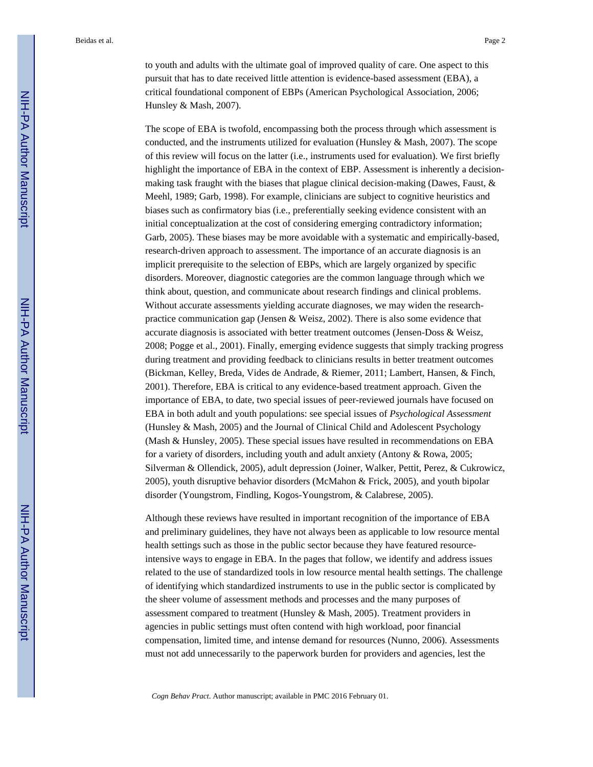to youth and adults with the ultimate goal of improved quality of care. One aspect to this pursuit that has to date received little attention is evidence-based assessment (EBA), a critical foundational component of EBPs (American Psychological Association, 2006; Hunsley & Mash, 2007).

The scope of EBA is twofold, encompassing both the process through which assessment is conducted, and the instruments utilized for evaluation (Hunsley & Mash, 2007). The scope of this review will focus on the latter (i.e., instruments used for evaluation). We first briefly highlight the importance of EBA in the context of EBP. Assessment is inherently a decisionmaking task fraught with the biases that plague clinical decision-making (Dawes, Faust,  $\&$ Meehl, 1989; Garb, 1998). For example, clinicians are subject to cognitive heuristics and biases such as confirmatory bias (i.e., preferentially seeking evidence consistent with an initial conceptualization at the cost of considering emerging contradictory information; Garb, 2005). These biases may be more avoidable with a systematic and empirically-based, research-driven approach to assessment. The importance of an accurate diagnosis is an implicit prerequisite to the selection of EBPs, which are largely organized by specific disorders. Moreover, diagnostic categories are the common language through which we think about, question, and communicate about research findings and clinical problems. Without accurate assessments yielding accurate diagnoses, we may widen the researchpractice communication gap (Jensen & Weisz, 2002). There is also some evidence that accurate diagnosis is associated with better treatment outcomes (Jensen-Doss & Weisz, 2008; Pogge et al., 2001). Finally, emerging evidence suggests that simply tracking progress during treatment and providing feedback to clinicians results in better treatment outcomes (Bickman, Kelley, Breda, Vides de Andrade, & Riemer, 2011; Lambert, Hansen, & Finch, 2001). Therefore, EBA is critical to any evidence-based treatment approach. Given the importance of EBA, to date, two special issues of peer-reviewed journals have focused on EBA in both adult and youth populations: see special issues of *Psychological Assessment*  (Hunsley & Mash, 2005) and the Journal of Clinical Child and Adolescent Psychology (Mash & Hunsley, 2005). These special issues have resulted in recommendations on EBA for a variety of disorders, including youth and adult anxiety (Antony & Rowa, 2005; Silverman & Ollendick, 2005), adult depression (Joiner, Walker, Pettit, Perez, & Cukrowicz, 2005), youth disruptive behavior disorders (McMahon & Frick, 2005), and youth bipolar disorder (Youngstrom, Findling, Kogos-Youngstrom, & Calabrese, 2005).

Although these reviews have resulted in important recognition of the importance of EBA and preliminary guidelines, they have not always been as applicable to low resource mental health settings such as those in the public sector because they have featured resourceintensive ways to engage in EBA. In the pages that follow, we identify and address issues related to the use of standardized tools in low resource mental health settings. The challenge of identifying which standardized instruments to use in the public sector is complicated by the sheer volume of assessment methods and processes and the many purposes of assessment compared to treatment (Hunsley & Mash, 2005). Treatment providers in agencies in public settings must often contend with high workload, poor financial compensation, limited time, and intense demand for resources (Nunno, 2006). Assessments must not add unnecessarily to the paperwork burden for providers and agencies, lest the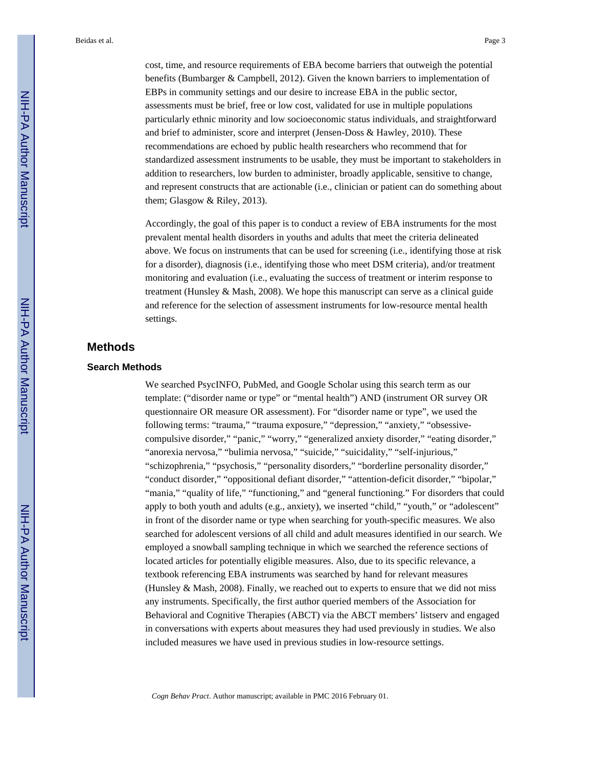cost, time, and resource requirements of EBA become barriers that outweigh the potential benefits (Bumbarger & Campbell, 2012). Given the known barriers to implementation of EBPs in community settings and our desire to increase EBA in the public sector, assessments must be brief, free or low cost, validated for use in multiple populations particularly ethnic minority and low socioeconomic status individuals, and straightforward and brief to administer, score and interpret (Jensen-Doss & Hawley, 2010). These recommendations are echoed by public health researchers who recommend that for standardized assessment instruments to be usable, they must be important to stakeholders in addition to researchers, low burden to administer, broadly applicable, sensitive to change, and represent constructs that are actionable (i.e., clinician or patient can do something about them; Glasgow & Riley, 2013).

Accordingly, the goal of this paper is to conduct a review of EBA instruments for the most prevalent mental health disorders in youths and adults that meet the criteria delineated above. We focus on instruments that can be used for screening (i.e., identifying those at risk for a disorder), diagnosis (i.e., identifying those who meet DSM criteria), and/or treatment monitoring and evaluation (i.e., evaluating the success of treatment or interim response to treatment (Hunsley & Mash, 2008). We hope this manuscript can serve as a clinical guide and reference for the selection of assessment instruments for low-resource mental health settings.

#### **Methods**

#### **Search Methods**

We searched PsycINFO, PubMed, and Google Scholar using this search term as our template: ("disorder name or type" or "mental health") AND (instrument OR survey OR questionnaire OR measure OR assessment). For "disorder name or type", we used the following terms: "trauma," "trauma exposure," "depression," "anxiety," "obsessivecompulsive disorder," "panic," "worry," "generalized anxiety disorder," "eating disorder," "anorexia nervosa," "bulimia nervosa," "suicide," "suicidality," "self-injurious," "schizophrenia," "psychosis," "personality disorders," "borderline personality disorder," "conduct disorder," "oppositional defiant disorder," "attention-deficit disorder," "bipolar," "mania," "quality of life," "functioning," and "general functioning." For disorders that could apply to both youth and adults (e.g., anxiety), we inserted "child," "youth," or "adolescent" in front of the disorder name or type when searching for youth-specific measures. We also searched for adolescent versions of all child and adult measures identified in our search. We employed a snowball sampling technique in which we searched the reference sections of located articles for potentially eligible measures. Also, due to its specific relevance, a textbook referencing EBA instruments was searched by hand for relevant measures (Hunsley  $\&$  Mash, 2008). Finally, we reached out to experts to ensure that we did not miss any instruments. Specifically, the first author queried members of the Association for Behavioral and Cognitive Therapies (ABCT) via the ABCT members' listserv and engaged in conversations with experts about measures they had used previously in studies. We also included measures we have used in previous studies in low-resource settings.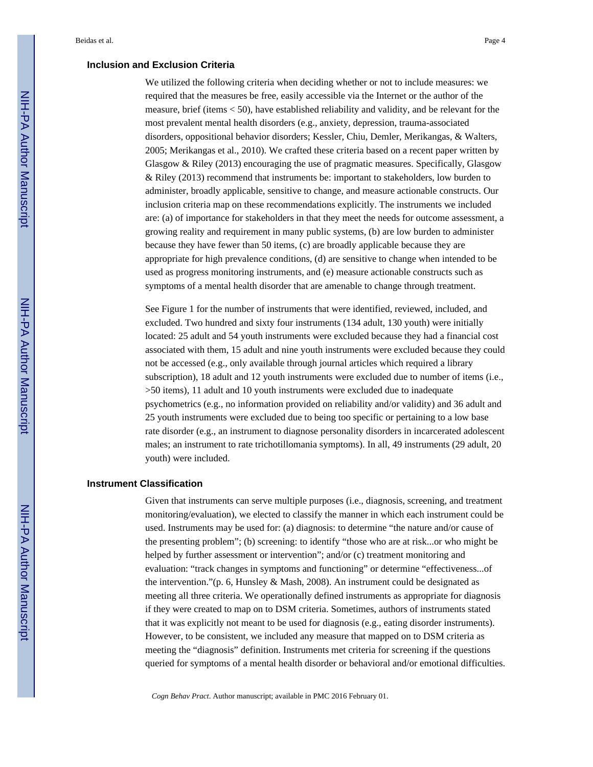#### **Inclusion and Exclusion Criteria**

We utilized the following criteria when deciding whether or not to include measures: we required that the measures be free, easily accessible via the Internet or the author of the measure, brief (items < 50), have established reliability and validity, and be relevant for the most prevalent mental health disorders (e.g., anxiety, depression, trauma-associated disorders, oppositional behavior disorders; Kessler, Chiu, Demler, Merikangas, & Walters, 2005; Merikangas et al., 2010). We crafted these criteria based on a recent paper written by Glasgow & Riley (2013) encouraging the use of pragmatic measures. Specifically, Glasgow & Riley (2013) recommend that instruments be: important to stakeholders, low burden to administer, broadly applicable, sensitive to change, and measure actionable constructs. Our inclusion criteria map on these recommendations explicitly. The instruments we included are: (a) of importance for stakeholders in that they meet the needs for outcome assessment, a growing reality and requirement in many public systems, (b) are low burden to administer because they have fewer than 50 items, (c) are broadly applicable because they are appropriate for high prevalence conditions, (d) are sensitive to change when intended to be used as progress monitoring instruments, and (e) measure actionable constructs such as symptoms of a mental health disorder that are amenable to change through treatment.

See Figure 1 for the number of instruments that were identified, reviewed, included, and excluded. Two hundred and sixty four instruments (134 adult, 130 youth) were initially located: 25 adult and 54 youth instruments were excluded because they had a financial cost associated with them, 15 adult and nine youth instruments were excluded because they could not be accessed (e.g., only available through journal articles which required a library subscription), 18 adult and 12 youth instruments were excluded due to number of items (i.e., >50 items), 11 adult and 10 youth instruments were excluded due to inadequate psychometrics (e.g., no information provided on reliability and/or validity) and 36 adult and 25 youth instruments were excluded due to being too specific or pertaining to a low base rate disorder (e.g., an instrument to diagnose personality disorders in incarcerated adolescent males; an instrument to rate trichotillomania symptoms). In all, 49 instruments (29 adult, 20 youth) were included.

#### **Instrument Classification**

Given that instruments can serve multiple purposes (i.e., diagnosis, screening, and treatment monitoring/evaluation), we elected to classify the manner in which each instrument could be used. Instruments may be used for: (a) diagnosis: to determine "the nature and/or cause of the presenting problem"; (b) screening: to identify "those who are at risk...or who might be helped by further assessment or intervention"; and/or (c) treatment monitoring and evaluation: "track changes in symptoms and functioning" or determine "effectiveness...of the intervention."(p. 6, Hunsley & Mash, 2008). An instrument could be designated as meeting all three criteria. We operationally defined instruments as appropriate for diagnosis if they were created to map on to DSM criteria. Sometimes, authors of instruments stated that it was explicitly not meant to be used for diagnosis (e.g., eating disorder instruments). However, to be consistent, we included any measure that mapped on to DSM criteria as meeting the "diagnosis" definition. Instruments met criteria for screening if the questions queried for symptoms of a mental health disorder or behavioral and/or emotional difficulties.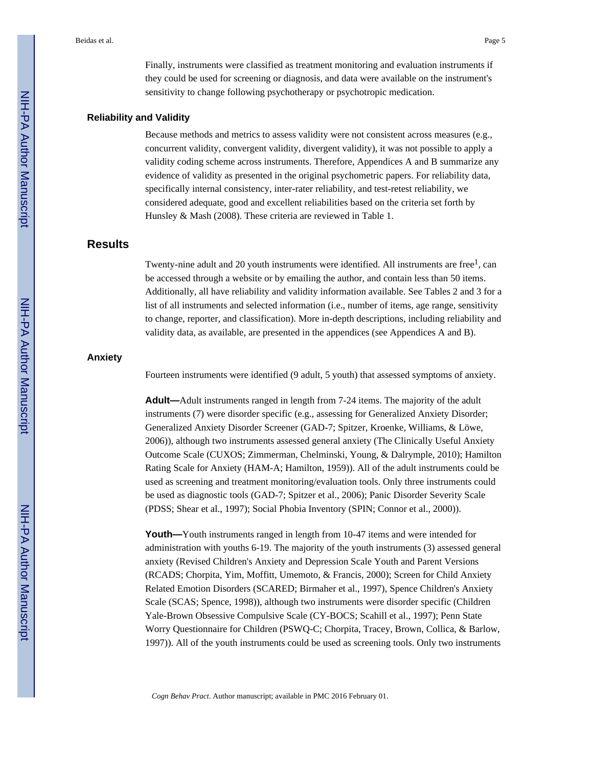Finally, instruments were classified as treatment monitoring and evaluation instruments if they could be used for screening or diagnosis, and data were available on the instrument's sensitivity to change following psychotherapy or psychotropic medication.

#### **Reliability and Validity**

Because methods and metrics to assess validity were not consistent across measures (e.g., concurrent validity, convergent validity, divergent validity), it was not possible to apply a validity coding scheme across instruments. Therefore, Appendices A and B summarize any evidence of validity as presented in the original psychometric papers. For reliability data, specifically internal consistency, inter-rater reliability, and test-retest reliability, we considered adequate, good and excellent reliabilities based on the criteria set forth by Hunsley & Mash (2008). These criteria are reviewed in Table 1.

#### **Results**

Twenty-nine adult and 20 youth instruments were identified. All instruments are free<sup>1</sup>, can be accessed through a website or by emailing the author, and contain less than 50 items. Additionally, all have reliability and validity information available. See Tables 2 and 3 for a list of all instruments and selected information (i.e., number of items, age range, sensitivity to change, reporter, and classification). More in-depth descriptions, including reliability and validity data, as available, are presented in the appendices (see Appendices A and B).

#### **Anxiety**

Fourteen instruments were identified (9 adult, 5 youth) that assessed symptoms of anxiety.

**Adult—**Adult instruments ranged in length from 7-24 items. The majority of the adult instruments (7) were disorder specific (e.g., assessing for Generalized Anxiety Disorder; Generalized Anxiety Disorder Screener (GAD-7; Spitzer, Kroenke, Williams, & Löwe, 2006)), although two instruments assessed general anxiety (The Clinically Useful Anxiety Outcome Scale (CUXOS; Zimmerman, Chelminski, Young, & Dalrymple, 2010); Hamilton Rating Scale for Anxiety (HAM-A; Hamilton, 1959)). All of the adult instruments could be used as screening and treatment monitoring/evaluation tools. Only three instruments could be used as diagnostic tools (GAD-7; Spitzer et al., 2006); Panic Disorder Severity Scale (PDSS; Shear et al., 1997); Social Phobia Inventory (SPIN; Connor et al., 2000)).

**Youth—**Youth instruments ranged in length from 10-47 items and were intended for administration with youths 6-19. The majority of the youth instruments (3) assessed general anxiety (Revised Children's Anxiety and Depression Scale Youth and Parent Versions (RCADS; Chorpita, Yim, Moffitt, Umemoto, & Francis, 2000); Screen for Child Anxiety Related Emotion Disorders (SCARED; Birmaher et al., 1997), Spence Children's Anxiety Scale (SCAS; Spence, 1998)), although two instruments were disorder specific (Children Yale-Brown Obsessive Compulsive Scale (CY-BOCS; Scahill et al., 1997); Penn State Worry Questionnaire for Children (PSWQ-C; Chorpita, Tracey, Brown, Collica, & Barlow, 1997)). All of the youth instruments could be used as screening tools. Only two instruments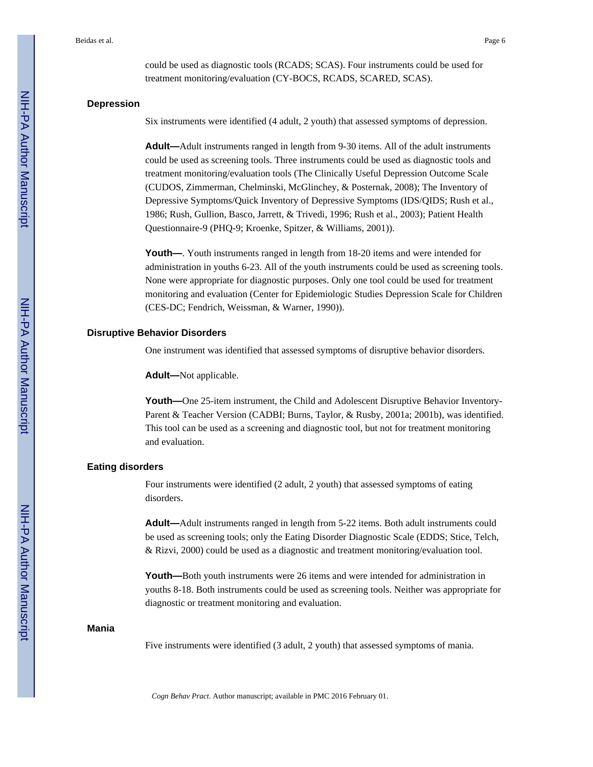could be used as diagnostic tools (RCADS; SCAS). Four instruments could be used for treatment monitoring/evaluation (CY-BOCS, RCADS, SCARED, SCAS).

#### **Depression**

Six instruments were identified (4 adult, 2 youth) that assessed symptoms of depression.

**Adult—**Adult instruments ranged in length from 9-30 items. All of the adult instruments could be used as screening tools. Three instruments could be used as diagnostic tools and treatment monitoring/evaluation tools (The Clinically Useful Depression Outcome Scale (CUDOS, Zimmerman, Chelminski, McGlinchey, & Posternak, 2008); The Inventory of Depressive Symptoms/Quick Inventory of Depressive Symptoms (IDS/QIDS; Rush et al., 1986; Rush, Gullion, Basco, Jarrett, & Trivedi, 1996; Rush et al., 2003); Patient Health Questionnaire-9 (PHQ-9; Kroenke, Spitzer, & Williams, 2001)).

**Youth—**. Youth instruments ranged in length from 18-20 items and were intended for administration in youths 6-23. All of the youth instruments could be used as screening tools. None were appropriate for diagnostic purposes. Only one tool could be used for treatment monitoring and evaluation (Center for Epidemiologic Studies Depression Scale for Children (CES-DC; Fendrich, Weissman, & Warner, 1990)).

#### **Disruptive Behavior Disorders**

One instrument was identified that assessed symptoms of disruptive behavior disorders.

**Adult—**Not applicable.

**Youth—**One 25-item instrument, the Child and Adolescent Disruptive Behavior Inventory-Parent & Teacher Version (CADBI; Burns, Taylor, & Rusby, 2001a; 2001b), was identified. This tool can be used as a screening and diagnostic tool, but not for treatment monitoring and evaluation.

#### **Eating disorders**

Four instruments were identified (2 adult, 2 youth) that assessed symptoms of eating disorders.

**Adult—**Adult instruments ranged in length from 5-22 items. Both adult instruments could be used as screening tools; only the Eating Disorder Diagnostic Scale (EDDS; Stice, Telch, & Rizvi, 2000) could be used as a diagnostic and treatment monitoring/evaluation tool.

**Youth—**Both youth instruments were 26 items and were intended for administration in youths 8-18. Both instruments could be used as screening tools. Neither was appropriate for diagnostic or treatment monitoring and evaluation.

#### **Mania**

Five instruments were identified (3 adult, 2 youth) that assessed symptoms of mania.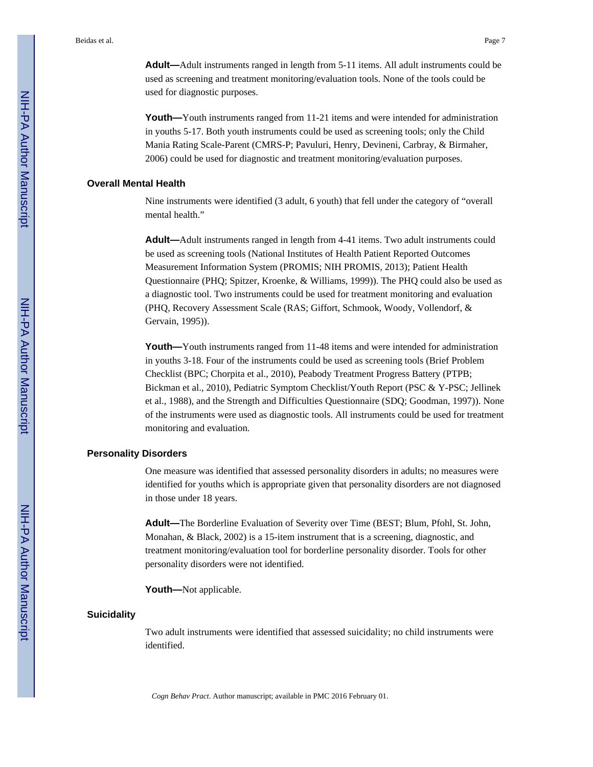**Adult—**Adult instruments ranged in length from 5-11 items. All adult instruments could be used as screening and treatment monitoring/evaluation tools. None of the tools could be used for diagnostic purposes.

**Youth—**Youth instruments ranged from 11-21 items and were intended for administration in youths 5-17. Both youth instruments could be used as screening tools; only the Child Mania Rating Scale-Parent (CMRS-P; Pavuluri, Henry, Devineni, Carbray, & Birmaher, 2006) could be used for diagnostic and treatment monitoring/evaluation purposes.

#### **Overall Mental Health**

Nine instruments were identified (3 adult, 6 youth) that fell under the category of "overall mental health."

**Adult—**Adult instruments ranged in length from 4-41 items. Two adult instruments could be used as screening tools (National Institutes of Health Patient Reported Outcomes Measurement Information System (PROMIS; NIH PROMIS, 2013); Patient Health Questionnaire (PHQ; Spitzer, Kroenke, & Williams, 1999)). The PHQ could also be used as a diagnostic tool. Two instruments could be used for treatment monitoring and evaluation (PHQ, Recovery Assessment Scale (RAS; Giffort, Schmook, Woody, Vollendorf, & Gervain, 1995)).

Youth—Youth instruments ranged from 11-48 items and were intended for administration in youths 3-18. Four of the instruments could be used as screening tools (Brief Problem Checklist (BPC; Chorpita et al., 2010), Peabody Treatment Progress Battery (PTPB; Bickman et al., 2010), Pediatric Symptom Checklist/Youth Report (PSC & Y-PSC; Jellinek et al., 1988), and the Strength and Difficulties Questionnaire (SDQ; Goodman, 1997)). None of the instruments were used as diagnostic tools. All instruments could be used for treatment monitoring and evaluation.

#### **Personality Disorders**

One measure was identified that assessed personality disorders in adults; no measures were identified for youths which is appropriate given that personality disorders are not diagnosed in those under 18 years.

**Adult—**The Borderline Evaluation of Severity over Time (BEST; Blum, Pfohl, St. John, Monahan, & Black, 2002) is a 15-item instrument that is a screening, diagnostic, and treatment monitoring/evaluation tool for borderline personality disorder. Tools for other personality disorders were not identified.

**Youth—**Not applicable.

#### **Suicidality**

Two adult instruments were identified that assessed suicidality; no child instruments were identified.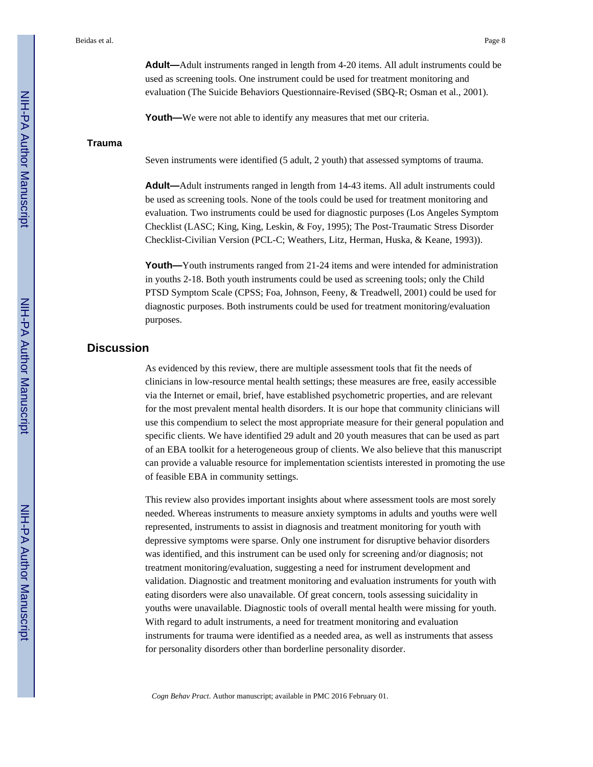**Adult—**Adult instruments ranged in length from 4-20 items. All adult instruments could be used as screening tools. One instrument could be used for treatment monitoring and evaluation (The Suicide Behaviors Questionnaire-Revised (SBQ-R; Osman et al., 2001).

**Youth—**We were not able to identify any measures that met our criteria.

#### **Trauma**

Seven instruments were identified (5 adult, 2 youth) that assessed symptoms of trauma.

**Adult—**Adult instruments ranged in length from 14-43 items. All adult instruments could be used as screening tools. None of the tools could be used for treatment monitoring and evaluation. Two instruments could be used for diagnostic purposes (Los Angeles Symptom Checklist (LASC; King, King, Leskin, & Foy, 1995); The Post-Traumatic Stress Disorder Checklist-Civilian Version (PCL-C; Weathers, Litz, Herman, Huska, & Keane, 1993)).

**Youth—**Youth instruments ranged from 21-24 items and were intended for administration in youths 2-18. Both youth instruments could be used as screening tools; only the Child PTSD Symptom Scale (CPSS; Foa, Johnson, Feeny, & Treadwell, 2001) could be used for diagnostic purposes. Both instruments could be used for treatment monitoring/evaluation purposes.

#### **Discussion**

As evidenced by this review, there are multiple assessment tools that fit the needs of clinicians in low-resource mental health settings; these measures are free, easily accessible via the Internet or email, brief, have established psychometric properties, and are relevant for the most prevalent mental health disorders. It is our hope that community clinicians will use this compendium to select the most appropriate measure for their general population and specific clients. We have identified 29 adult and 20 youth measures that can be used as part of an EBA toolkit for a heterogeneous group of clients. We also believe that this manuscript can provide a valuable resource for implementation scientists interested in promoting the use of feasible EBA in community settings.

This review also provides important insights about where assessment tools are most sorely needed. Whereas instruments to measure anxiety symptoms in adults and youths were well represented, instruments to assist in diagnosis and treatment monitoring for youth with depressive symptoms were sparse. Only one instrument for disruptive behavior disorders was identified, and this instrument can be used only for screening and/or diagnosis; not treatment monitoring/evaluation, suggesting a need for instrument development and validation. Diagnostic and treatment monitoring and evaluation instruments for youth with eating disorders were also unavailable. Of great concern, tools assessing suicidality in youths were unavailable. Diagnostic tools of overall mental health were missing for youth. With regard to adult instruments, a need for treatment monitoring and evaluation instruments for trauma were identified as a needed area, as well as instruments that assess for personality disorders other than borderline personality disorder.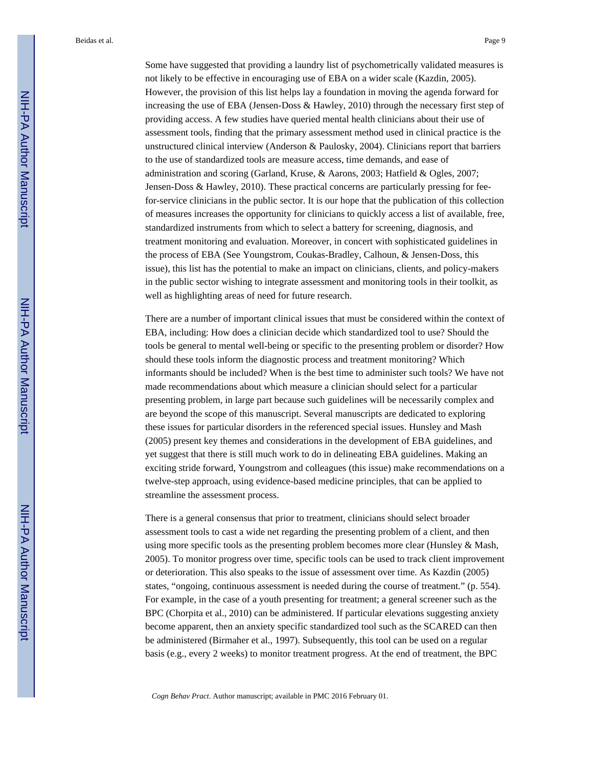Some have suggested that providing a laundry list of psychometrically validated measures is not likely to be effective in encouraging use of EBA on a wider scale (Kazdin, 2005). However, the provision of this list helps lay a foundation in moving the agenda forward for increasing the use of EBA (Jensen-Doss & Hawley, 2010) through the necessary first step of providing access. A few studies have queried mental health clinicians about their use of assessment tools, finding that the primary assessment method used in clinical practice is the unstructured clinical interview (Anderson & Paulosky, 2004). Clinicians report that barriers to the use of standardized tools are measure access, time demands, and ease of administration and scoring (Garland, Kruse, & Aarons, 2003; Hatfield & Ogles, 2007; Jensen-Doss & Hawley, 2010). These practical concerns are particularly pressing for feefor-service clinicians in the public sector. It is our hope that the publication of this collection of measures increases the opportunity for clinicians to quickly access a list of available, free, standardized instruments from which to select a battery for screening, diagnosis, and treatment monitoring and evaluation. Moreover, in concert with sophisticated guidelines in the process of EBA (See Youngstrom, Coukas-Bradley, Calhoun, & Jensen-Doss, this issue), this list has the potential to make an impact on clinicians, clients, and policy-makers in the public sector wishing to integrate assessment and monitoring tools in their toolkit, as well as highlighting areas of need for future research.

There are a number of important clinical issues that must be considered within the context of EBA, including: How does a clinician decide which standardized tool to use? Should the tools be general to mental well-being or specific to the presenting problem or disorder? How should these tools inform the diagnostic process and treatment monitoring? Which informants should be included? When is the best time to administer such tools? We have not made recommendations about which measure a clinician should select for a particular presenting problem, in large part because such guidelines will be necessarily complex and are beyond the scope of this manuscript. Several manuscripts are dedicated to exploring these issues for particular disorders in the referenced special issues. Hunsley and Mash (2005) present key themes and considerations in the development of EBA guidelines, and yet suggest that there is still much work to do in delineating EBA guidelines. Making an exciting stride forward, Youngstrom and colleagues (this issue) make recommendations on a twelve-step approach, using evidence-based medicine principles, that can be applied to streamline the assessment process.

There is a general consensus that prior to treatment, clinicians should select broader assessment tools to cast a wide net regarding the presenting problem of a client, and then using more specific tools as the presenting problem becomes more clear (Hunsley  $\&$  Mash, 2005). To monitor progress over time, specific tools can be used to track client improvement or deterioration. This also speaks to the issue of assessment over time. As Kazdin (2005) states, "ongoing, continuous assessment is needed during the course of treatment." (p. 554). For example, in the case of a youth presenting for treatment; a general screener such as the BPC (Chorpita et al., 2010) can be administered. If particular elevations suggesting anxiety become apparent, then an anxiety specific standardized tool such as the SCARED can then be administered (Birmaher et al., 1997). Subsequently, this tool can be used on a regular basis (e.g., every 2 weeks) to monitor treatment progress. At the end of treatment, the BPC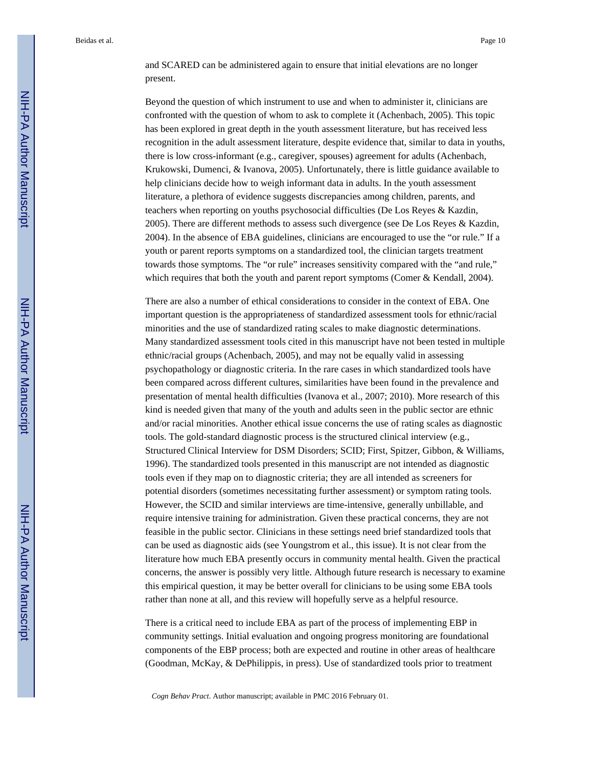and SCARED can be administered again to ensure that initial elevations are no longer present.

Beyond the question of which instrument to use and when to administer it, clinicians are confronted with the question of whom to ask to complete it (Achenbach, 2005). This topic has been explored in great depth in the youth assessment literature, but has received less recognition in the adult assessment literature, despite evidence that, similar to data in youths, there is low cross-informant (e.g., caregiver, spouses) agreement for adults (Achenbach, Krukowski, Dumenci, & Ivanova, 2005). Unfortunately, there is little guidance available to help clinicians decide how to weigh informant data in adults. In the youth assessment literature, a plethora of evidence suggests discrepancies among children, parents, and teachers when reporting on youths psychosocial difficulties (De Los Reyes & Kazdin, 2005). There are different methods to assess such divergence (see De Los Reyes & Kazdin, 2004). In the absence of EBA guidelines, clinicians are encouraged to use the "or rule." If a youth or parent reports symptoms on a standardized tool, the clinician targets treatment towards those symptoms. The "or rule" increases sensitivity compared with the "and rule," which requires that both the youth and parent report symptoms (Comer & Kendall, 2004).

There are also a number of ethical considerations to consider in the context of EBA. One important question is the appropriateness of standardized assessment tools for ethnic/racial minorities and the use of standardized rating scales to make diagnostic determinations. Many standardized assessment tools cited in this manuscript have not been tested in multiple ethnic/racial groups (Achenbach, 2005), and may not be equally valid in assessing psychopathology or diagnostic criteria. In the rare cases in which standardized tools have been compared across different cultures, similarities have been found in the prevalence and presentation of mental health difficulties (Ivanova et al., 2007; 2010). More research of this kind is needed given that many of the youth and adults seen in the public sector are ethnic and/or racial minorities. Another ethical issue concerns the use of rating scales as diagnostic tools. The gold-standard diagnostic process is the structured clinical interview (e.g., Structured Clinical Interview for DSM Disorders; SCID; First, Spitzer, Gibbon, & Williams, 1996). The standardized tools presented in this manuscript are not intended as diagnostic tools even if they map on to diagnostic criteria; they are all intended as screeners for potential disorders (sometimes necessitating further assessment) or symptom rating tools. However, the SCID and similar interviews are time-intensive, generally unbillable, and require intensive training for administration. Given these practical concerns, they are not feasible in the public sector. Clinicians in these settings need brief standardized tools that can be used as diagnostic aids (see Youngstrom et al., this issue). It is not clear from the literature how much EBA presently occurs in community mental health. Given the practical concerns, the answer is possibly very little. Although future research is necessary to examine this empirical question, it may be better overall for clinicians to be using some EBA tools rather than none at all, and this review will hopefully serve as a helpful resource.

There is a critical need to include EBA as part of the process of implementing EBP in community settings. Initial evaluation and ongoing progress monitoring are foundational components of the EBP process; both are expected and routine in other areas of healthcare (Goodman, McKay, & DePhilippis, in press). Use of standardized tools prior to treatment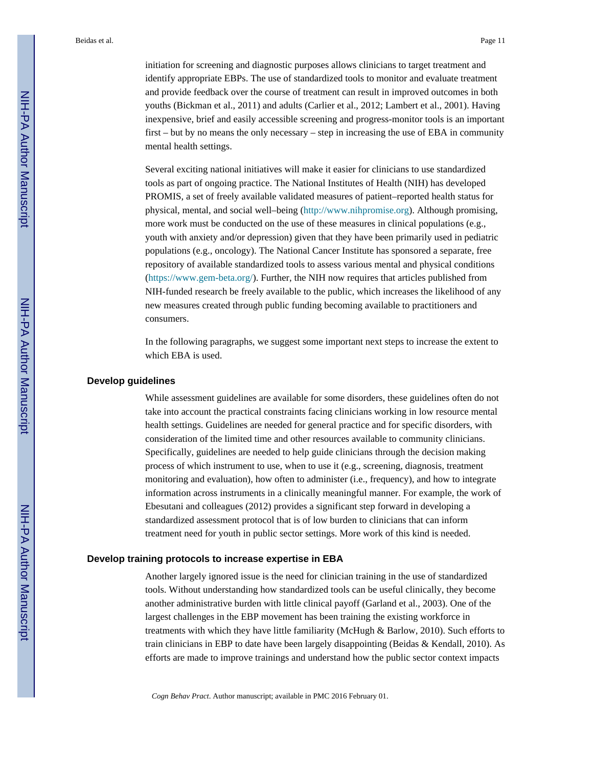initiation for screening and diagnostic purposes allows clinicians to target treatment and identify appropriate EBPs. The use of standardized tools to monitor and evaluate treatment and provide feedback over the course of treatment can result in improved outcomes in both youths (Bickman et al., 2011) and adults (Carlier et al., 2012; Lambert et al., 2001). Having inexpensive, brief and easily accessible screening and progress-monitor tools is an important first – but by no means the only necessary – step in increasing the use of EBA in community mental health settings.

Several exciting national initiatives will make it easier for clinicians to use standardized tools as part of ongoing practice. The National Institutes of Health (NIH) has developed PROMIS, a set of freely available validated measures of patient–reported health status for physical, mental, and social well–being (<http://www.nihpromise.org>). Although promising, more work must be conducted on the use of these measures in clinical populations (e.g., youth with anxiety and/or depression) given that they have been primarily used in pediatric populations (e.g., oncology). The National Cancer Institute has sponsored a separate, free repository of available standardized tools to assess various mental and physical conditions [\(https://www.gem-beta.org/](http://https://www.gem-beta.org/)). Further, the NIH now requires that articles published from NIH-funded research be freely available to the public, which increases the likelihood of any new measures created through public funding becoming available to practitioners and consumers.

In the following paragraphs, we suggest some important next steps to increase the extent to which EBA is used.

#### **Develop guidelines**

While assessment guidelines are available for some disorders, these guidelines often do not take into account the practical constraints facing clinicians working in low resource mental health settings. Guidelines are needed for general practice and for specific disorders, with consideration of the limited time and other resources available to community clinicians. Specifically, guidelines are needed to help guide clinicians through the decision making process of which instrument to use, when to use it (e.g., screening, diagnosis, treatment monitoring and evaluation), how often to administer (i.e., frequency), and how to integrate information across instruments in a clinically meaningful manner. For example, the work of Ebesutani and colleagues (2012) provides a significant step forward in developing a standardized assessment protocol that is of low burden to clinicians that can inform treatment need for youth in public sector settings. More work of this kind is needed.

#### **Develop training protocols to increase expertise in EBA**

Another largely ignored issue is the need for clinician training in the use of standardized tools. Without understanding how standardized tools can be useful clinically, they become another administrative burden with little clinical payoff (Garland et al., 2003). One of the largest challenges in the EBP movement has been training the existing workforce in treatments with which they have little familiarity (McHugh & Barlow, 2010). Such efforts to train clinicians in EBP to date have been largely disappointing (Beidas & Kendall, 2010). As efforts are made to improve trainings and understand how the public sector context impacts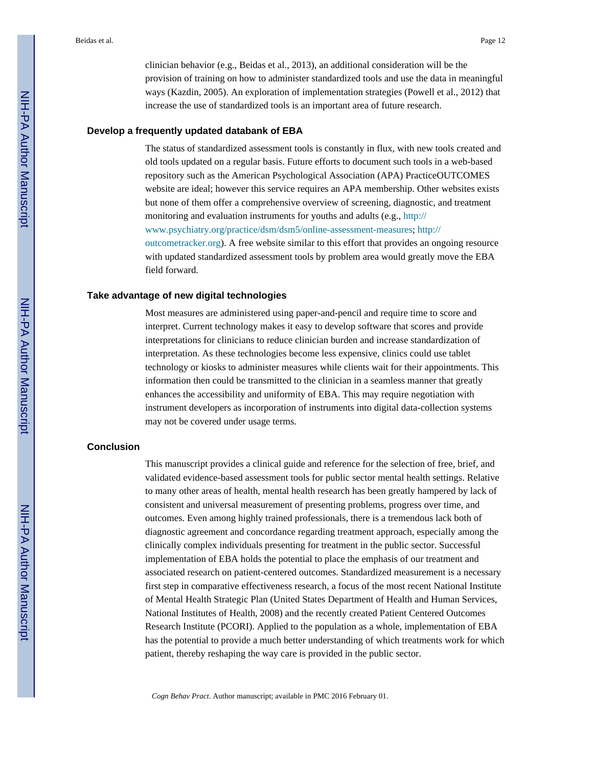clinician behavior (e.g., Beidas et al., 2013), an additional consideration will be the provision of training on how to administer standardized tools and use the data in meaningful ways (Kazdin, 2005). An exploration of implementation strategies (Powell et al., 2012) that increase the use of standardized tools is an important area of future research.

#### **Develop a frequently updated databank of EBA**

The status of standardized assessment tools is constantly in flux, with new tools created and old tools updated on a regular basis. Future efforts to document such tools in a web-based repository such as the American Psychological Association (APA) PracticeOUTCOMES website are ideal; however this service requires an APA membership. Other websites exists but none of them offer a comprehensive overview of screening, diagnostic, and treatment monitoring and evaluation instruments for youths and adults (e.g., [http://](http://www.psychiatry.org/practice/dsm/dsm5/online-assessment-measures) [www.psychiatry.org/practice/dsm/dsm5/online-assessment-measures](http://www.psychiatry.org/practice/dsm/dsm5/online-assessment-measures); [http://](http://outcometracker.org) [outcometracker.org](http://outcometracker.org)). A free website similar to this effort that provides an ongoing resource with updated standardized assessment tools by problem area would greatly move the EBA field forward.

#### **Take advantage of new digital technologies**

Most measures are administered using paper-and-pencil and require time to score and interpret. Current technology makes it easy to develop software that scores and provide interpretations for clinicians to reduce clinician burden and increase standardization of interpretation. As these technologies become less expensive, clinics could use tablet technology or kiosks to administer measures while clients wait for their appointments. This information then could be transmitted to the clinician in a seamless manner that greatly enhances the accessibility and uniformity of EBA. This may require negotiation with instrument developers as incorporation of instruments into digital data-collection systems may not be covered under usage terms.

#### **Conclusion**

This manuscript provides a clinical guide and reference for the selection of free, brief, and validated evidence-based assessment tools for public sector mental health settings. Relative to many other areas of health, mental health research has been greatly hampered by lack of consistent and universal measurement of presenting problems, progress over time, and outcomes. Even among highly trained professionals, there is a tremendous lack both of diagnostic agreement and concordance regarding treatment approach, especially among the clinically complex individuals presenting for treatment in the public sector. Successful implementation of EBA holds the potential to place the emphasis of our treatment and associated research on patient-centered outcomes. Standardized measurement is a necessary first step in comparative effectiveness research, a focus of the most recent National Institute of Mental Health Strategic Plan (United States Department of Health and Human Services, National Institutes of Health, 2008) and the recently created Patient Centered Outcomes Research Institute (PCORI). Applied to the population as a whole, implementation of EBA has the potential to provide a much better understanding of which treatments work for which patient, thereby reshaping the way care is provided in the public sector.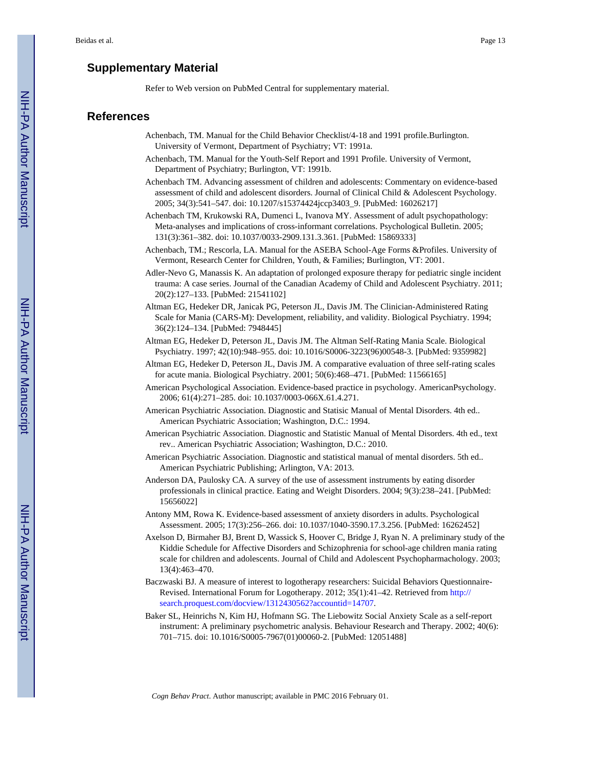#### **Supplementary Material**

Refer to Web version on PubMed Central for supplementary material.

#### **References**

- Achenbach, TM. Manual for the Child Behavior Checklist/4-18 and 1991 profile.Burlington. University of Vermont, Department of Psychiatry; VT: 1991a.
- Achenbach, TM. Manual for the Youth-Self Report and 1991 Profile. University of Vermont, Department of Psychiatry; Burlington, VT: 1991b.
- Achenbach TM. Advancing assessment of children and adolescents: Commentary on evidence-based assessment of child and adolescent disorders. Journal of Clinical Child & Adolescent Psychology. 2005; 34(3):541–547. doi: 10.1207/s15374424jccp3403\_9. [PubMed: 16026217]
- Achenbach TM, Krukowski RA, Dumenci L, Ivanova MY. Assessment of adult psychopathology: Meta-analyses and implications of cross-informant correlations. Psychological Bulletin. 2005; 131(3):361–382. doi: 10.1037/0033-2909.131.3.361. [PubMed: 15869333]
- Achenbach, TM.; Rescorla, LA. Manual for the ASEBA School-Age Forms &Profiles. University of Vermont, Research Center for Children, Youth, & Families; Burlington, VT: 2001.
- Adler-Nevo G, Manassis K. An adaptation of prolonged exposure therapy for pediatric single incident trauma: A case series. Journal of the Canadian Academy of Child and Adolescent Psychiatry. 2011; 20(2):127–133. [PubMed: 21541102]
- Altman EG, Hedeker DR, Janicak PG, Peterson JL, Davis JM. The Clinician-Administered Rating Scale for Mania (CARS-M): Development, reliability, and validity. Biological Psychiatry. 1994; 36(2):124–134. [PubMed: 7948445]
- Altman EG, Hedeker D, Peterson JL, Davis JM. The Altman Self-Rating Mania Scale. Biological Psychiatry. 1997; 42(10):948–955. doi: 10.1016/S0006-3223(96)00548-3. [PubMed: 9359982]
- Altman EG, Hedeker D, Peterson JL, Davis JM. A comparative evaluation of three self-rating scales for acute mania. Biological Psychiatry. 2001; 50(6):468–471. [PubMed: 11566165]
- American Psychological Association. Evidence-based practice in psychology. AmericanPsychology. 2006; 61(4):271–285. doi: 10.1037/0003-066X.61.4.271.
- American Psychiatric Association. Diagnostic and Statisic Manual of Mental Disorders. 4th ed.. American Psychiatric Association; Washington, D.C.: 1994.
- American Psychiatric Association. Diagnostic and Statistic Manual of Mental Disorders. 4th ed., text rev.. American Psychiatric Association; Washington, D.C.: 2010.
- American Psychiatric Association. Diagnostic and statistical manual of mental disorders. 5th ed.. American Psychiatric Publishing; Arlington, VA: 2013.
- Anderson DA, Paulosky CA. A survey of the use of assessment instruments by eating disorder professionals in clinical practice. Eating and Weight Disorders. 2004; 9(3):238–241. [PubMed: 15656022]
- Antony MM, Rowa K. Evidence-based assessment of anxiety disorders in adults. Psychological Assessment. 2005; 17(3):256–266. doi: 10.1037/1040-3590.17.3.256. [PubMed: 16262452]
- Axelson D, Birmaher BJ, Brent D, Wassick S, Hoover C, Bridge J, Ryan N. A preliminary study of the Kiddie Schedule for Affective Disorders and Schizophrenia for school-age children mania rating scale for children and adolescents. Journal of Child and Adolescent Psychopharmachology. 2003; 13(4):463–470.
- Baczwaski BJ. A measure of interest to logotherapy researchers: Suicidal Behaviors Questionnaire-Revised. International Forum for Logotherapy. 2012; 35(1):41–42. Retrieved from [http://](http://search.proquest.com/docview/1312430562?accountid=14707) [search.proquest.com/docview/1312430562?accountid=14707](http://search.proquest.com/docview/1312430562?accountid=14707).
- Baker SL, Heinrichs N, Kim HJ, Hofmann SG. The Liebowitz Social Anxiety Scale as a self-report instrument: A preliminary psychometric analysis. Behaviour Research and Therapy. 2002; 40(6): 701–715. doi: 10.1016/S0005-7967(01)00060-2. [PubMed: 12051488]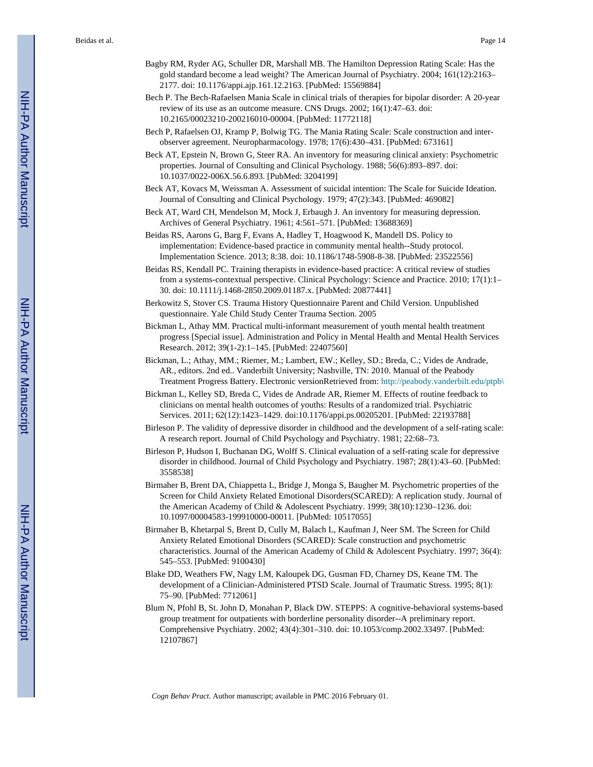- Bagby RM, Ryder AG, Schuller DR, Marshall MB. The Hamilton Depression Rating Scale: Has the gold standard become a lead weight? The American Journal of Psychiatry. 2004; 161(12):2163– 2177. doi: 10.1176/appi.ajp.161.12.2163. [PubMed: 15569884]
- Bech P. The Bech-Rafaelsen Mania Scale in clinical trials of therapies for bipolar disorder: A 20-year review of its use as an outcome measure. CNS Drugs. 2002; 16(1):47–63. doi: 10.2165/00023210-200216010-00004. [PubMed: 11772118]
- Bech P, Rafaelsen OJ, Kramp P, Bolwig TG. The Mania Rating Scale: Scale construction and interobserver agreement. Neuropharmacology. 1978; 17(6):430–431. [PubMed: 673161]
- Beck AT, Epstein N, Brown G, Steer RA. An inventory for measuring clinical anxiety: Psychometric properties. Journal of Consulting and Clinical Psychology. 1988; 56(6):893–897. doi: 10.1037/0022-006X.56.6.893. [PubMed: 3204199]
- Beck AT, Kovacs M, Weissman A. Assessment of suicidal intention: The Scale for Suicide Ideation. Journal of Consulting and Clinical Psychology. 1979; 47(2):343. [PubMed: 469082]
- Beck AT, Ward CH, Mendelson M, Mock J, Erbaugh J. An inventory for measuring depression. Archives of General Psychiatry. 1961; 4:561–571. [PubMed: 13688369]
- Beidas RS, Aarons G, Barg F, Evans A, Hadley T, Hoagwood K, Mandell DS. Policy to implementation: Evidence-based practice in community mental health--Study protocol. Implementation Science. 2013; 8:38. doi: 10.1186/1748-5908-8-38. [PubMed: 23522556]
- Beidas RS, Kendall PC. Training therapists in evidence-based practice: A critical review of studies from a systems-contextual perspective. Clinical Psychology: Science and Practice. 2010; 17(1):1– 30. doi: 10.1111/j.1468-2850.2009.01187.x. [PubMed: 20877441]
- Berkowitz S, Stover CS. Trauma History Questionnaire Parent and Child Version. Unpublished questionnaire. Yale Child Study Center Trauma Section. 2005
- Bickman L, Athay MM. Practical multi-informant measurement of youth mental health treatment progress [Special issue]. Administration and Policy in Mental Health and Mental Health Services Research. 2012; 39(1-2):1–145. [PubMed: 22407560]
- Bickman, L.; Athay, MM.; Riemer, M.; Lambert, EW.; Kelley, SD.; Breda, C.; Vides de Andrade, AR., editors. 2nd ed.. Vanderbilt University; Nashville, TN: 2010. Manual of the Peabody Treatment Progress Battery. Electronic versionRetrieved from: <http://peabody.vanderbilt.edu/ptpb\>
- Bickman L, Kelley SD, Breda C, Vides de Andrade AR, Riemer M. Effects of routine feedback to clinicians on mental health outcomes of youths: Results of a randomized trial. Psychiatric Services. 2011; 62(12):1423–1429. doi:10.1176/appi.ps.00205201. [PubMed: 22193788]
- Birleson P. The validity of depressive disorder in childhood and the development of a self-rating scale: A research report. Journal of Child Psychology and Psychiatry. 1981; 22:68–73.
- Birleson P, Hudson I, Buchanan DG, Wolff S. Clinical evaluation of a self-rating scale for depressive disorder in childhood. Journal of Child Psychology and Psychiatry. 1987; 28(1):43–60. [PubMed: 3558538]
- Birmaher B, Brent DA, Chiappetta L, Bridge J, Monga S, Baugher M. Psychometric properties of the Screen for Child Anxiety Related Emotional Disorders(SCARED): A replication study. Journal of the American Academy of Child & Adolescent Psychiatry. 1999; 38(10):1230–1236. doi: 10.1097/00004583-199910000-00011. [PubMed: 10517055]
- Birmaher B, Khetarpal S, Brent D, Cully M, Balach L, Kaufman J, Neer SM. The Screen for Child Anxiety Related Emotional Disorders (SCARED): Scale construction and psychometric characteristics. Journal of the American Academy of Child & Adolescent Psychiatry. 1997; 36(4): 545–553. [PubMed: 9100430]
- Blake DD, Weathers FW, Nagy LM, Kaloupek DG, Gusman FD, Charney DS, Keane TM. The development of a Clinician-Administered PTSD Scale. Journal of Traumatic Stress. 1995; 8(1): 75–90. [PubMed: 7712061]
- Blum N, Pfohl B, St. John D, Monahan P, Black DW. STEPPS: A cognitive-behavioral systems-based group treatment for outpatients with borderline personality disorder--A preliminary report. Comprehensive Psychiatry. 2002; 43(4):301–310. doi: 10.1053/comp.2002.33497. [PubMed: 12107867]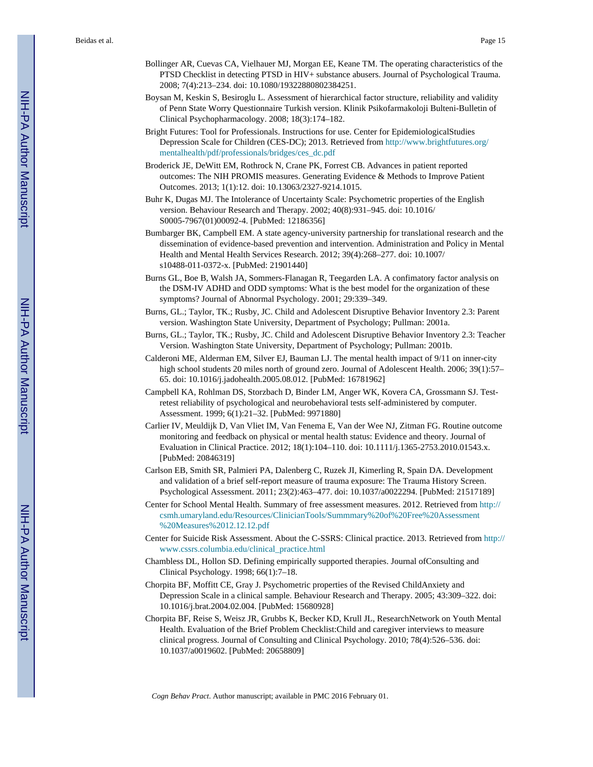- Bollinger AR, Cuevas CA, Vielhauer MJ, Morgan EE, Keane TM. The operating characteristics of the PTSD Checklist in detecting PTSD in HIV+ substance abusers. Journal of Psychological Trauma. 2008; 7(4):213–234. doi: 10.1080/19322880802384251.
- Boysan M, Keskin S, Besiroglu L. Assessment of hierarchical factor structure, reliability and validity of Penn State Worry Questionnaire Turkish version. Klinik Psikofarmakoloji Bulteni-Bulletin of Clinical Psychopharmacology. 2008; 18(3):174–182.
- Bright Futures: Tool for Professionals. Instructions for use. Center for EpidemiologicalStudies Depression Scale for Children (CES-DC); 2013. Retrieved from [http://www.brightfutures.org/](http://www.brightfutures.org/mentalhealth/pdf/professionals/bridges/ces_dc.pdf) [mentalhealth/pdf/professionals/bridges/ces\\_dc.pdf](http://www.brightfutures.org/mentalhealth/pdf/professionals/bridges/ces_dc.pdf)
- Broderick JE, DeWitt EM, Rothrock N, Crane PK, Forrest CB. Advances in patient reported outcomes: The NIH PROMIS measures. Generating Evidence & Methods to Improve Patient Outcomes. 2013; 1(1):12. doi: 10.13063/2327-9214.1015.
- Buhr K, Dugas MJ. The Intolerance of Uncertainty Scale: Psychometric properties of the English version. Behaviour Research and Therapy. 2002; 40(8):931–945. doi: 10.1016/ S0005-7967(01)00092-4. [PubMed: 12186356]
- Bumbarger BK, Campbell EM. A state agency-university partnership for translational research and the dissemination of evidence-based prevention and intervention. Administration and Policy in Mental Health and Mental Health Services Research. 2012; 39(4):268–277. doi: 10.1007/ s10488-011-0372-x. [PubMed: 21901440]
- Burns GL, Boe B, Walsh JA, Sommers-Flanagan R, Teegarden LA. A confimatory factor analysis on the DSM-IV ADHD and ODD symptoms: What is the best model for the organization of these symptoms? Journal of Abnormal Psychology. 2001; 29:339–349.
- Burns, GL.; Taylor, TK.; Rusby, JC. Child and Adolescent Disruptive Behavior Inventory 2.3: Parent version. Washington State University, Department of Psychology; Pullman: 2001a.
- Burns, GL.; Taylor, TK.; Rusby, JC. Child and Adolescent Disruptive Behavior Inventory 2.3: Teacher Version. Washington State University, Department of Psychology; Pullman: 2001b.
- Calderoni ME, Alderman EM, Silver EJ, Bauman LJ. The mental health impact of 9/11 on inner-city high school students 20 miles north of ground zero. Journal of Adolescent Health. 2006; 39(1):57– 65. doi: 10.1016/j.jadohealth.2005.08.012. [PubMed: 16781962]
- Campbell KA, Rohlman DS, Storzbach D, Binder LM, Anger WK, Kovera CA, Grossmann SJ. Testretest reliability of psychological and neurobehavioral tests self-administered by computer. Assessment. 1999; 6(1):21–32. [PubMed: 9971880]
- Carlier IV, Meuldijk D, Van Vliet IM, Van Fenema E, Van der Wee NJ, Zitman FG. Routine outcome monitoring and feedback on physical or mental health status: Evidence and theory. Journal of Evaluation in Clinical Practice. 2012; 18(1):104–110. doi: 10.1111/j.1365-2753.2010.01543.x. [PubMed: 20846319]
- Carlson EB, Smith SR, Palmieri PA, Dalenberg C, Ruzek JI, Kimerling R, Spain DA. Development and validation of a brief self-report measure of trauma exposure: The Trauma History Screen. Psychological Assessment. 2011; 23(2):463–477. doi: 10.1037/a0022294. [PubMed: 21517189]
- Center for School Mental Health. Summary of free assessment measures. 2012. Retrieved from [http://](http://csmh.umaryland.edu/Resources/ClinicianTools/Summmary%20of%20Free%20Assessment%20Measures%2012.12.12.pdf) [csmh.umaryland.edu/Resources/ClinicianTools/Summmary%20of%20Free%20Assessment](http://csmh.umaryland.edu/Resources/ClinicianTools/Summmary%20of%20Free%20Assessment%20Measures%2012.12.12.pdf) [%20Measures%2012.12.12.pdf](http://csmh.umaryland.edu/Resources/ClinicianTools/Summmary%20of%20Free%20Assessment%20Measures%2012.12.12.pdf)
- Center for Suicide Risk Assessment. About the C-SSRS: Clinical practice. 2013. Retrieved from [http://](http://www.cssrs.columbia.edu/clinical_practice.html) [www.cssrs.columbia.edu/clinical\\_practice.html](http://www.cssrs.columbia.edu/clinical_practice.html)
- Chambless DL, Hollon SD. Defining empirically supported therapies. Journal ofConsulting and Clinical Psychology. 1998; 66(1):7–18.
- Chorpita BF, Moffitt CE, Gray J. Psychometric properties of the Revised ChildAnxiety and Depression Scale in a clinical sample. Behaviour Research and Therapy. 2005; 43:309–322. doi: 10.1016/j.brat.2004.02.004. [PubMed: 15680928]
- Chorpita BF, Reise S, Weisz JR, Grubbs K, Becker KD, Krull JL, ResearchNetwork on Youth Mental Health. Evaluation of the Brief Problem Checklist:Child and caregiver interviews to measure clinical progress. Journal of Consulting and Clinical Psychology. 2010; 78(4):526–536. doi: 10.1037/a0019602. [PubMed: 20658809]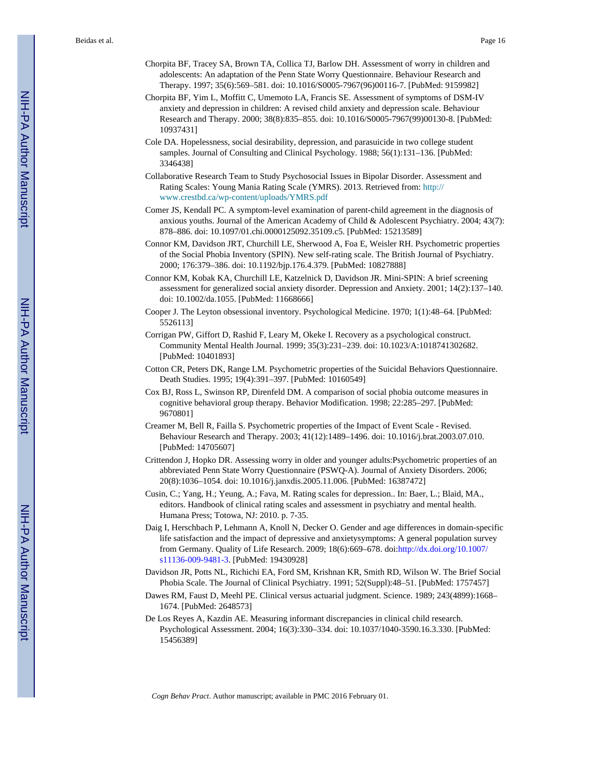- Chorpita BF, Tracey SA, Brown TA, Collica TJ, Barlow DH. Assessment of worry in children and adolescents: An adaptation of the Penn State Worry Questionnaire. Behaviour Research and Therapy. 1997; 35(6):569–581. doi: 10.1016/S0005-7967(96)00116-7. [PubMed: 9159982]
- Chorpita BF, Yim L, Moffitt C, Umemoto LA, Francis SE. Assessment of symptoms of DSM-IV anxiety and depression in children: A revised child anxiety and depression scale. Behaviour Research and Therapy. 2000; 38(8):835–855. doi: 10.1016/S0005-7967(99)00130-8. [PubMed: 10937431]
- Cole DA. Hopelessness, social desirability, depression, and parasuicide in two college student samples. Journal of Consulting and Clinical Psychology. 1988; 56(1):131–136. [PubMed: 3346438]
- Collaborative Research Team to Study Psychosocial Issues in Bipolar Disorder. Assessment and Rating Scales: Young Mania Rating Scale (YMRS). 2013. Retrieved from: [http://](http://www.crestbd.ca/wp-content/uploads/YMRS.pdf) [www.crestbd.ca/wp-content/uploads/YMRS.pdf](http://www.crestbd.ca/wp-content/uploads/YMRS.pdf)
- Comer JS, Kendall PC. A symptom-level examination of parent-child agreement in the diagnosis of anxious youths. Journal of the American Academy of Child & Adolescent Psychiatry. 2004; 43(7): 878–886. doi: 10.1097/01.chi.0000125092.35109.c5. [PubMed: 15213589]
- Connor KM, Davidson JRT, Churchill LE, Sherwood A, Foa E, Weisler RH. Psychometric properties of the Social Phobia Inventory (SPIN). New self-rating scale. The British Journal of Psychiatry. 2000; 176:379–386. doi: 10.1192/bjp.176.4.379. [PubMed: 10827888]
- Connor KM, Kobak KA, Churchill LE, Katzelnick D, Davidson JR. Mini-SPIN: A brief screening assessment for generalized social anxiety disorder. Depression and Anxiety. 2001; 14(2):137–140. doi: 10.1002/da.1055. [PubMed: 11668666]
- Cooper J. The Leyton obsessional inventory. Psychological Medicine. 1970; 1(1):48–64. [PubMed: 5526113]
- Corrigan PW, Giffort D, Rashid F, Leary M, Okeke I. Recovery as a psychological construct. Community Mental Health Journal. 1999; 35(3):231–239. doi: 10.1023/A:1018741302682. [PubMed: 10401893]
- Cotton CR, Peters DK, Range LM. Psychometric properties of the Suicidal Behaviors Questionnaire. Death Studies. 1995; 19(4):391–397. [PubMed: 10160549]
- Cox BJ, Ross L, Swinson RP, Direnfeld DM. A comparison of social phobia outcome measures in cognitive behavioral group therapy. Behavior Modification. 1998; 22:285–297. [PubMed: 9670801]
- Creamer M, Bell R, Failla S. Psychometric properties of the Impact of Event Scale Revised. Behaviour Research and Therapy. 2003; 41(12):1489–1496. doi: 10.1016/j.brat.2003.07.010. [PubMed: 14705607]
- Crittendon J, Hopko DR. Assessing worry in older and younger adults:Psychometric properties of an abbreviated Penn State Worry Questionnaire (PSWQ-A). Journal of Anxiety Disorders. 2006; 20(8):1036–1054. doi: 10.1016/j.janxdis.2005.11.006. [PubMed: 16387472]
- Cusin, C.; Yang, H.; Yeung, A.; Fava, M. Rating scales for depression.. In: Baer, L.; Blaid, MA., editors. Handbook of clinical rating scales and assessment in psychiatry and mental health. Humana Press; Totowa, NJ: 2010. p. 7-35.
- Daig I, Herschbach P, Lehmann A, Knoll N, Decker O. Gender and age differences in domain-specific life satisfaction and the impact of depressive and anxietysymptoms: A general population survey from Germany. Quality of Life Research. 2009; 18(6):669–678. doi[:http://dx.doi.org/10.1007/](http://dx.doi.org/10.1007/s11136-009-9481-3) [s11136-009-9481-3.](http://dx.doi.org/10.1007/s11136-009-9481-3) [PubMed: 19430928]
- Davidson JR, Potts NL, Richichi EA, Ford SM, Krishnan KR, Smith RD, Wilson W. The Brief Social Phobia Scale. The Journal of Clinical Psychiatry. 1991; 52(Suppl):48–51. [PubMed: 1757457]
- Dawes RM, Faust D, Meehl PE. Clinical versus actuarial judgment. Science. 1989; 243(4899):1668– 1674. [PubMed: 2648573]
- De Los Reyes A, Kazdin AE. Measuring informant discrepancies in clinical child research. Psychological Assessment. 2004; 16(3):330–334. doi: 10.1037/1040-3590.16.3.330. [PubMed: 15456389]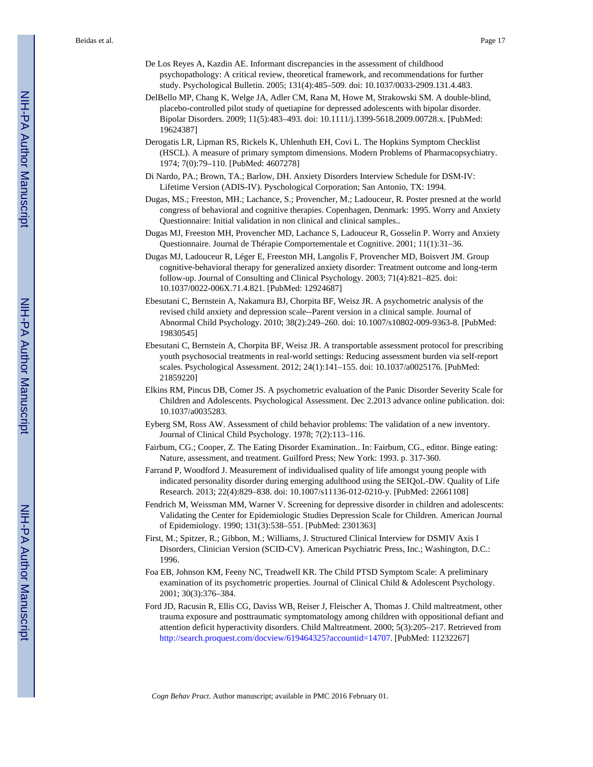- De Los Reyes A, Kazdin AE. Informant discrepancies in the assessment of childhood psychopathology: A critical review, theoretical framework, and recommendations for further study. Psychological Bulletin. 2005; 131(4):485–509. doi: 10.1037/0033-2909.131.4.483.
- DelBello MP, Chang K, Welge JA, Adler CM, Rana M, Howe M, Strakowski SM. A double-blind, placebo-controlled pilot study of quetiapine for depressed adolescents with bipolar disorder. Bipolar Disorders. 2009; 11(5):483–493. doi: 10.1111/j.1399-5618.2009.00728.x. [PubMed: 19624387]
- Derogatis LR, Lipman RS, Rickels K, Uhlenhuth EH, Covi L. The Hopkins Symptom Checklist (HSCL). A measure of primary symptom dimensions. Modern Problems of Pharmacopsychiatry. 1974; 7(0):79–110. [PubMed: 4607278]
- Di Nardo, PA.; Brown, TA.; Barlow, DH. Anxiety Disorders Interview Schedule for DSM-IV: Lifetime Version (ADIS-IV). Pyschological Corporation; San Antonio, TX: 1994.
- Dugas, MS.; Freeston, MH.; Lachance, S.; Provencher, M.; Ladouceur, R. Poster presned at the world congress of behavioral and cognitive therapies. Copenhagen, Denmark: 1995. Worry and Anxiety Questionnaire: Initial validation in non clinical and clinical samples..
- Dugas MJ, Freeston MH, Provencher MD, Lachance S, Ladouceur R, Gosselin P. Worry and Anxiety Questionnaire. Journal de Thérapie Comportementale et Cognitive. 2001; 11(1):31–36.
- Dugas MJ, Ladouceur R, Léger E, Freeston MH, Langolis F, Provencher MD, Boisvert JM. Group cognitive-behavioral therapy for generalized anxiety disorder: Treatment outcome and long-term follow-up. Journal of Consulting and Clinical Psychology. 2003; 71(4):821–825. doi: 10.1037/0022-006X.71.4.821. [PubMed: 12924687]
- Ebesutani C, Bernstein A, Nakamura BJ, Chorpita BF, Weisz JR. A psychometric analysis of the revised child anxiety and depression scale--Parent version in a clinical sample. Journal of Abnormal Child Psychology. 2010; 38(2):249–260. doi: 10.1007/s10802-009-9363-8. [PubMed: 19830545]
- Ebesutani C, Bernstein A, Chorpita BF, Weisz JR. A transportable assessment protocol for prescribing youth psychosocial treatments in real-world settings: Reducing assessment burden via self-report scales. Psychological Assessment. 2012; 24(1):141–155. doi: 10.1037/a0025176. [PubMed: 21859220]
- Elkins RM, Pincus DB, Comer JS. A psychometric evaluation of the Panic Disorder Severity Scale for Children and Adolescents. Psychological Assessment. Dec 2.2013 advance online publication. doi: 10.1037/a0035283.
- Eyberg SM, Ross AW. Assessment of child behavior problems: The validation of a new inventory. Journal of Clinical Child Psychology. 1978; 7(2):113–116.
- Fairbum, CG.; Cooper, Z. The Eating Disorder Examination.. In: Fairbum, CG., editor. Binge eating: Nature, assessment, and treatment. Guilford Press; New York: 1993. p. 317-360.
- Farrand P, Woodford J. Measurement of individualised quality of life amongst young people with indicated personality disorder during emerging adulthood using the SEIQoL-DW. Quality of Life Research. 2013; 22(4):829–838. doi: 10.1007/s11136-012-0210-y. [PubMed: 22661108]
- Fendrich M, Weissman MM, Warner V. Screening for depressive disorder in children and adolescents: Validating the Center for Epidemiologic Studies Depression Scale for Children. American Journal of Epidemiology. 1990; 131(3):538–551. [PubMed: 2301363]
- First, M.; Spitzer, R.; Gibbon, M.; Williams, J. Structured Clinical Interview for DSMIV Axis I Disorders, Clinician Version (SCID-CV). American Psychiatric Press, Inc.; Washington, D.C.: 1996.
- Foa EB, Johnson KM, Feeny NC, Treadwell KR. The Child PTSD Symptom Scale: A preliminary examination of its psychometric properties. Journal of Clinical Child & Adolescent Psychology. 2001; 30(3):376–384.
- Ford JD, Racusin R, Ellis CG, Daviss WB, Reiser J, Fleischer A, Thomas J. Child maltreatment, other trauma exposure and posttraumatic symptomatology among children with oppositional defiant and attention deficit hyperactivity disorders. Child Maltreatment. 2000; 5(3):205–217. Retrieved from <http://search.proquest.com/docview/619464325?accountid=14707>. [PubMed: 11232267]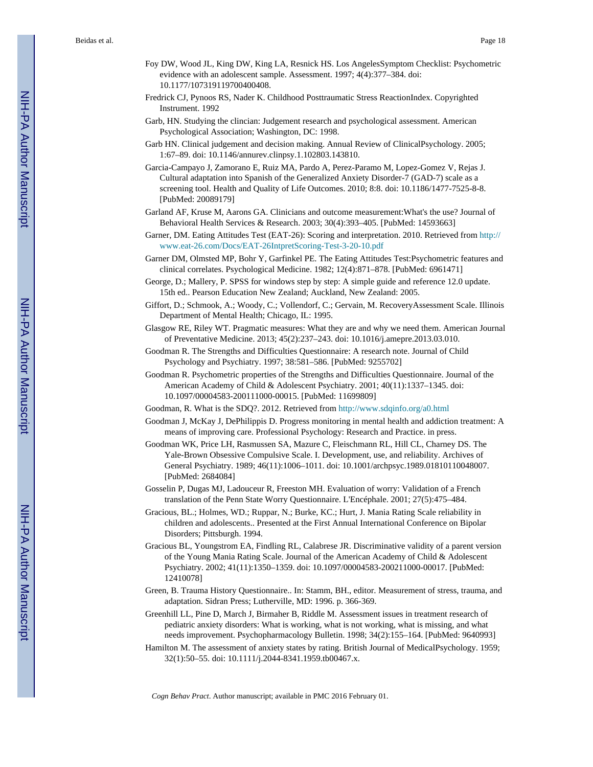- Foy DW, Wood JL, King DW, King LA, Resnick HS. Los AngelesSymptom Checklist: Psychometric evidence with an adolescent sample. Assessment. 1997; 4(4):377–384. doi: 10.1177/107319119700400408.
- Fredrick CJ, Pynoos RS, Nader K. Childhood Posttraumatic Stress ReactionIndex. Copyrighted Instrument. 1992
- Garb, HN. Studying the clincian: Judgement research and psychological assessment. American Psychological Association; Washington, DC: 1998.
- Garb HN. Clinical judgement and decision making. Annual Review of ClinicalPsychology. 2005; 1:67–89. doi: 10.1146/annurev.clinpsy.1.102803.143810.
- Garcia-Campayo J, Zamorano E, Ruiz MA, Pardo A, Perez-Paramo M, Lopez-Gomez V, Rejas J. Cultural adaptation into Spanish of the Generalized Anxiety Disorder-7 (GAD-7) scale as a screening tool. Health and Quality of Life Outcomes. 2010; 8:8. doi: 10.1186/1477-7525-8-8. [PubMed: 20089179]
- Garland AF, Kruse M, Aarons GA. Clinicians and outcome measurement:What's the use? Journal of Behavioral Health Services & Research. 2003; 30(4):393–405. [PubMed: 14593663]
- Garner, DM. Eating Attitudes Test (EAT-26): Scoring and interpretation. 2010. Retrieved from [http://](http://www.eat-26.com/Docs/EAT-26IntpretScoring-Test-3-20-10.pdf) [www.eat-26.com/Docs/EAT-26IntpretScoring-Test-3-20-10.pdf](http://www.eat-26.com/Docs/EAT-26IntpretScoring-Test-3-20-10.pdf)
- Garner DM, Olmsted MP, Bohr Y, Garfinkel PE. The Eating Attitudes Test:Psychometric features and clinical correlates. Psychological Medicine. 1982; 12(4):871–878. [PubMed: 6961471]
- George, D.; Mallery, P. SPSS for windows step by step: A simple guide and reference 12.0 update. 15th ed.. Pearson Education New Zealand; Auckland, New Zealand: 2005.
- Giffort, D.; Schmook, A.; Woody, C.; Vollendorf, C.; Gervain, M. RecoveryAssessment Scale. Illinois Department of Mental Health; Chicago, IL: 1995.
- Glasgow RE, Riley WT. Pragmatic measures: What they are and why we need them. American Journal of Preventative Medicine. 2013; 45(2):237–243. doi: 10.1016/j.amepre.2013.03.010.
- Goodman R. The Strengths and Difficulties Questionnaire: A research note. Journal of Child Psychology and Psychiatry. 1997; 38:581–586. [PubMed: 9255702]
- Goodman R. Psychometric properties of the Strengths and Difficulties Questionnaire. Journal of the American Academy of Child & Adolescent Psychiatry. 2001; 40(11):1337–1345. doi: 10.1097/00004583-200111000-00015. [PubMed: 11699809]
- Goodman, R. What is the SDQ?. 2012. Retrieved from <http://www.sdqinfo.org/a0.html>
- Goodman J, McKay J, DePhilippis D. Progress monitoring in mental health and addiction treatment: A means of improving care. Professional Psychology: Research and Practice. in press.
- Goodman WK, Price LH, Rasmussen SA, Mazure C, Fleischmann RL, Hill CL, Charney DS. The Yale-Brown Obsessive Compulsive Scale. I. Development, use, and reliability. Archives of General Psychiatry. 1989; 46(11):1006–1011. doi: 10.1001/archpsyc.1989.01810110048007. [PubMed: 2684084]
- Gosselin P, Dugas MJ, Ladouceur R, Freeston MH. Evaluation of worry: Validation of a French translation of the Penn State Worry Questionnaire. L'Encéphale. 2001; 27(5):475–484.
- Gracious, BL.; Holmes, WD.; Ruppar, N.; Burke, KC.; Hurt, J. Mania Rating Scale reliability in children and adolescents.. Presented at the First Annual International Conference on Bipolar Disorders; Pittsburgh. 1994.
- Gracious BL, Youngstrom EA, Findling RL, Calabrese JR. Discriminative validity of a parent version of the Young Mania Rating Scale. Journal of the American Academy of Child & Adolescent Psychiatry. 2002; 41(11):1350–1359. doi: 10.1097/00004583-200211000-00017. [PubMed: 12410078]
- Green, B. Trauma History Questionnaire.. In: Stamm, BH., editor. Measurement of stress, trauma, and adaptation. Sidran Press; Lutherville, MD: 1996. p. 366-369.
- Greenhill LL, Pine D, March J, Birmaher B, Riddle M. Assessment issues in treatment research of pediatric anxiety disorders: What is working, what is not working, what is missing, and what needs improvement. Psychopharmacology Bulletin. 1998; 34(2):155–164. [PubMed: 9640993]
- Hamilton M. The assessment of anxiety states by rating. British Journal of MedicalPsychology. 1959; 32(1):50–55. doi: 10.1111/j.2044-8341.1959.tb00467.x.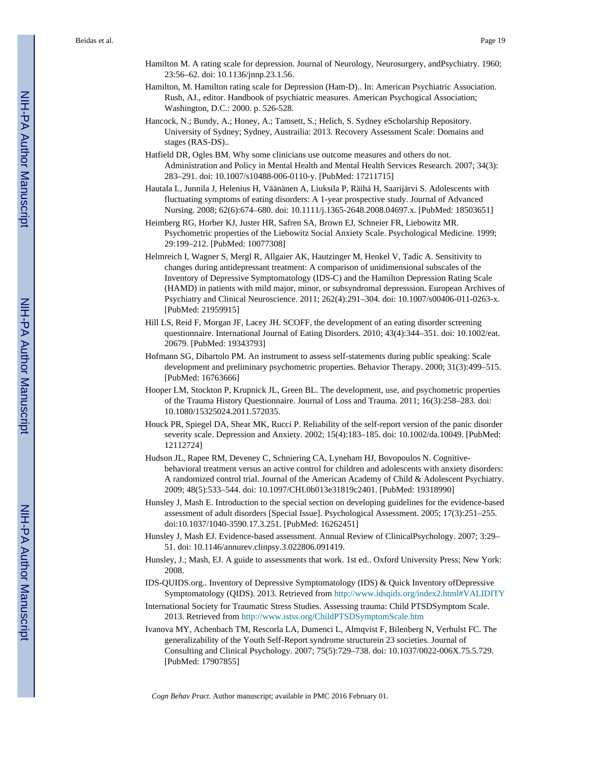- Hamilton M. A rating scale for depression. Journal of Neurology, Neurosurgery, andPsychiatry. 1960; 23:56–62. doi: 10.1136/jnnp.23.1.56.
- Hamilton, M. Hamilton rating scale for Depression (Ham-D).. In: American Psychiatric Association. Rush, AJ., editor. Handbook of psychiatric measures. American Psychogical Association; Washington, D.C.: 2000. p. 526-528.
- Hancock, N.; Bundy, A.; Honey, A.; Tamsett, S.; Helich, S. Sydney eScholarship Repository. University of Sydney; Sydney, Austrailia: 2013. Recovery Assessment Scale: Domains and stages (RAS-DS)..
- Hatfield DR, Ogles BM. Why some clinicians use outcome measures and others do not. Administration and Policy in Mental Health and Mental Health Services Research. 2007; 34(3): 283–291. doi: 10.1007/s10488-006-0110-y. [PubMed: 17211715]
- Hautala L, Junnila J, Helenius H, Väänänen A, Liuksila P, Räihä H, Saarijärvi S. Adolescents with fluctuating symptoms of eating disorders: A 1-year prospective study. Journal of Advanced Nursing. 2008; 62(6):674–680. doi: 10.1111/j.1365-2648.2008.04697.x. [PubMed: 18503651]
- Heimberg RG, Horber KJ, Juster HR, Safren SA, Brown EJ, Schneier FR, Liebowitz MR. Psychometric properties of the Liebowitz Social Anxiety Scale. Psychological Medicine. 1999; 29:199–212. [PubMed: 10077308]
- Helmreich I, Wagner S, Mergl R, Allgaier AK, Hautzinger M, Henkel V, Tadíc A. Sensitivity to changes during antidepressant treatment: A comparison of unidimensional subscales of the Inventory of Depressive Symptomatology (IDS-C) and the Hamilton Depression Rating Scale (HAMD) in patients with mild major, minor, or subsyndromal depresssion. European Archives of Psychiatry and Clinical Neuroscience. 2011; 262(4):291–304. doi: 10.1007/s00406-011-0263-x. [PubMed: 21959915]
- Hill LS, Reid F, Morgan JF, Lacey JH. SCOFF, the development of an eating disorder screening questionnaire. International Journal of Eating Disorders. 2010; 43(4):344–351. doi: 10.1002/eat. 20679. [PubMed: 19343793]
- Hofmann SG, Dibartolo PM. An instrument to assess self-statements during public speaking: Scale development and preliminary psychometric properties. Behavior Therapy. 2000; 31(3):499–515. [PubMed: 16763666]
- Hooper LM, Stockton P, Krupnick JL, Green BL. The development, use, and psychometric properties of the Trauma History Questionnaire. Journal of Loss and Trauma. 2011; 16(3):258–283. doi: 10.1080/15325024.2011.572035.
- Houck PR, Spiegel DA, Shear MK, Rucci P. Reliability of the self-report version of the panic disorder severity scale. Depression and Anxiety. 2002; 15(4):183–185. doi: 10.1002/da.10049. [PubMed: 12112724]
- Hudson JL, Rapee RM, Deveney C, Schniering CA, Lyneham HJ, Bovopoulos N. Cognitivebehavioral treatment versus an active control for children and adolescents with anxiety disorders: A randomized control trial. Journal of the American Academy of Child & Adolescent Psychiatry. 2009; 48(5):533–544. doi: 10.1097/CHI.0b013e31819c2401. [PubMed: 19318990]
- Hunsley J, Mash E. Introduction to the special section on developing guidelines for the evidence-based assessment of adult disorders [Special Issue]. Psychological Assessment. 2005; 17(3):251–255. doi:10.1037/1040-3590.17.3.251. [PubMed: 16262451]
- Hunsley J, Mash EJ. Evidence-based assessment. Annual Review of ClinicalPsychology. 2007; 3:29– 51. doi: 10.1146/annurev.clinpsy.3.022806.091419.
- Hunsley, J.; Mash, EJ. A guide to assessments that work. 1st ed.. Oxford University Press; New York: 2008.
- IDS-QUIDS.org.. Inventory of Depressive Symptomatology (IDS) & Quick Inventory ofDepressive Symptomatology (QIDS). 2013. Retrieved from<http://www.idsqids.org/index2.html#VALIDITY>
- International Society for Traumatic Stress Studies. Assessing trauma: Child PTSDSymptom Scale. 2013. Retrieved from<http://www.istss.org/ChildPTSDSymptomScale.htm>
- Ivanova MY, Achenbach TM, Rescorla LA, Dumenci L, Almqvist F, Bilenberg N, Verhulst FC. The generalizability of the Youth Self-Report syndrome structurein 23 societies. Journal of Consulting and Clinical Psychology. 2007; 75(5):729–738. doi: 10.1037/0022-006X.75.5.729. [PubMed: 17907855]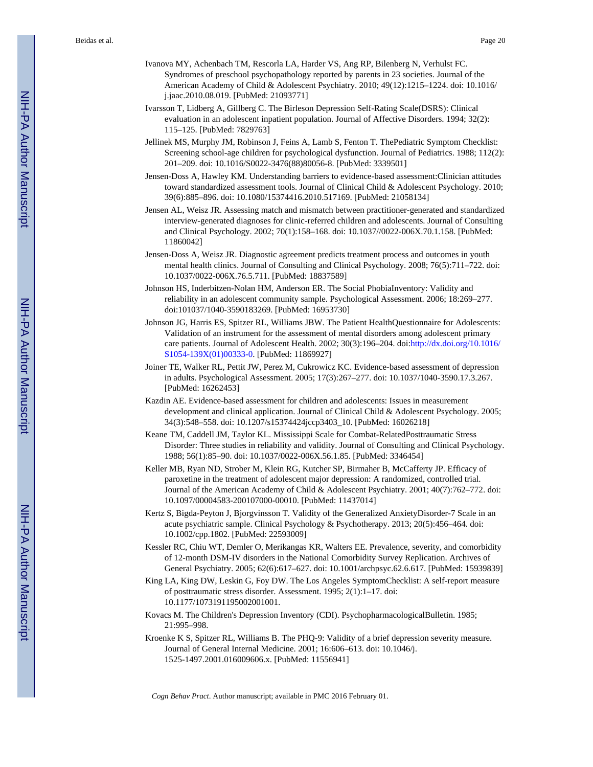- Ivanova MY, Achenbach TM, Rescorla LA, Harder VS, Ang RP, Bilenberg N, Verhulst FC. Syndromes of preschool psychopathology reported by parents in 23 societies. Journal of the American Academy of Child & Adolescent Psychiatry. 2010; 49(12):1215–1224. doi: 10.1016/ j.jaac.2010.08.019. [PubMed: 21093771]
- Ivarsson T, Lidberg A, Gillberg C. The Birleson Depression Self-Rating Scale(DSRS): Clinical evaluation in an adolescent inpatient population. Journal of Affective Disorders. 1994; 32(2): 115–125. [PubMed: 7829763]
- Jellinek MS, Murphy JM, Robinson J, Feins A, Lamb S, Fenton T. ThePediatric Symptom Checklist: Screening school-age children for psychological dysfunction. Journal of Pediatrics. 1988; 112(2): 201–209. doi: 10.1016/S0022-3476(88)80056-8. [PubMed: 3339501]
- Jensen-Doss A, Hawley KM. Understanding barriers to evidence-based assessment:Clinician attitudes toward standardized assessment tools. Journal of Clinical Child & Adolescent Psychology. 2010; 39(6):885–896. doi: 10.1080/15374416.2010.517169. [PubMed: 21058134]
- Jensen AL, Weisz JR. Assessing match and mismatch between practitioner-generated and standardized interview-generated diagnoses for clinic-referred children and adolescents. Journal of Consulting and Clinical Psychology. 2002; 70(1):158–168. doi: 10.1037//0022-006X.70.1.158. [PubMed: 11860042]
- Jensen-Doss A, Weisz JR. Diagnostic agreement predicts treatment process and outcomes in youth mental health clinics. Journal of Consulting and Clinical Psychology. 2008; 76(5):711–722. doi: 10.1037/0022-006X.76.5.711. [PubMed: 18837589]
- Johnson HS, Inderbitzen-Nolan HM, Anderson ER. The Social PhobiaInventory: Validity and reliability in an adolescent community sample. Psychological Assessment. 2006; 18:269–277. doi:101037/1040-3590183269. [PubMed: 16953730]
- Johnson JG, Harris ES, Spitzer RL, Williams JBW. The Patient HealthQuestionnaire for Adolescents: Validation of an instrument for the assessment of mental disorders among adolescent primary care patients. Journal of Adolescent Health. 2002; 30(3):196–204. doi[:http://dx.doi.org/10.1016/](http://dx.doi.org/10.1016/S1054-139X(01)00333-0) [S1054-139X\(01\)00333-0.](http://dx.doi.org/10.1016/S1054-139X(01)00333-0) [PubMed: 11869927]
- Joiner TE, Walker RL, Pettit JW, Perez M, Cukrowicz KC. Evidence-based assessment of depression in adults. Psychological Assessment. 2005; 17(3):267–277. doi: 10.1037/1040-3590.17.3.267. [PubMed: 16262453]
- Kazdin AE. Evidence-based assessment for children and adolescents: Issues in measurement development and clinical application. Journal of Clinical Child & Adolescent Psychology. 2005; 34(3):548–558. doi: 10.1207/s15374424jccp3403\_10. [PubMed: 16026218]
- Keane TM, Caddell JM, Taylor KL. Mississippi Scale for Combat-RelatedPosttraumatic Stress Disorder: Three studies in reliability and validity. Journal of Consulting and Clinical Psychology. 1988; 56(1):85–90. doi: 10.1037/0022-006X.56.1.85. [PubMed: 3346454]
- Keller MB, Ryan ND, Strober M, Klein RG, Kutcher SP, Birmaher B, McCafferty JP. Efficacy of paroxetine in the treatment of adolescent major depression: A randomized, controlled trial. Journal of the American Academy of Child & Adolescent Psychiatry. 2001; 40(7):762–772. doi: 10.1097/00004583-200107000-00010. [PubMed: 11437014]
- Kertz S, Bigda-Peyton J, Bjorgvinsson T. Validity of the Generalized AnxietyDisorder-7 Scale in an acute psychiatric sample. Clinical Psychology & Psychotherapy. 2013; 20(5):456–464. doi: 10.1002/cpp.1802. [PubMed: 22593009]
- Kessler RC, Chiu WT, Demler O, Merikangas KR, Walters EE. Prevalence, severity, and comorbidity of 12-month DSM-IV disorders in the National Comorbidity Survey Replication. Archives of General Psychiatry. 2005; 62(6):617–627. doi: 10.1001/archpsyc.62.6.617. [PubMed: 15939839]
- King LA, King DW, Leskin G, Foy DW. The Los Angeles SymptomChecklist: A self-report measure of posttraumatic stress disorder. Assessment. 1995; 2(1):1–17. doi: 10.1177/1073191195002001001.
- Kovacs M. The Children's Depression Inventory (CDI). PsychopharmacologicalBulletin. 1985; 21:995–998.
- Kroenke K S, Spitzer RL, Williams B. The PHQ-9: Validity of a brief depression severity measure. Journal of General Internal Medicine. 2001; 16:606–613. doi: 10.1046/j. 1525-1497.2001.016009606.x. [PubMed: 11556941]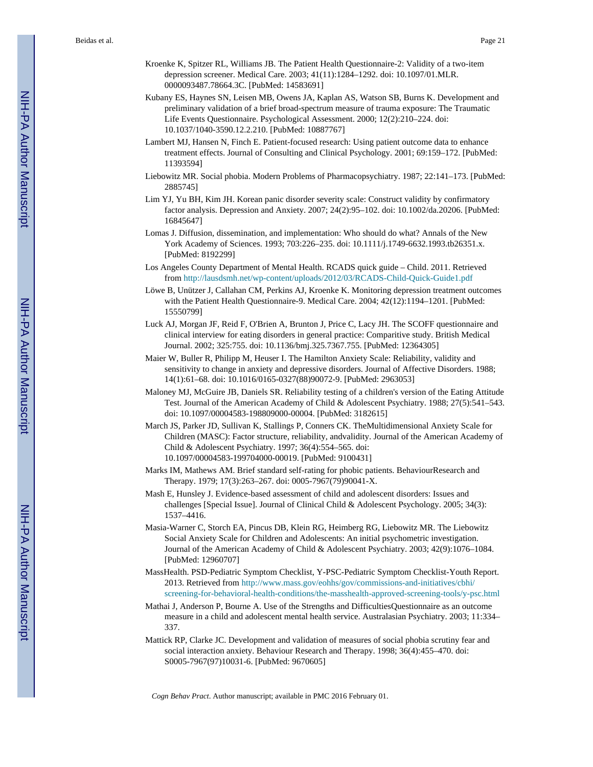- Kroenke K, Spitzer RL, Williams JB. The Patient Health Questionnaire-2: Validity of a two-item depression screener. Medical Care. 2003; 41(11):1284–1292. doi: 10.1097/01.MLR. 0000093487.78664.3C. [PubMed: 14583691]
- Kubany ES, Haynes SN, Leisen MB, Owens JA, Kaplan AS, Watson SB, Burns K. Development and preliminary validation of a brief broad-spectrum measure of trauma exposure: The Traumatic Life Events Questionnaire. Psychological Assessment. 2000; 12(2):210–224. doi: 10.1037/1040-3590.12.2.210. [PubMed: 10887767]
- Lambert MJ, Hansen N, Finch E. Patient-focused research: Using patient outcome data to enhance treatment effects. Journal of Consulting and Clinical Psychology. 2001; 69:159–172. [PubMed: 11393594]
- Liebowitz MR. Social phobia. Modern Problems of Pharmacopsychiatry. 1987; 22:141–173. [PubMed: 2885745]
- Lim YJ, Yu BH, Kim JH. Korean panic disorder severity scale: Construct validity by confirmatory factor analysis. Depression and Anxiety. 2007; 24(2):95–102. doi: 10.1002/da.20206. [PubMed: 16845647]
- Lomas J. Diffusion, dissemination, and implementation: Who should do what? Annals of the New York Academy of Sciences. 1993; 703:226–235. doi: 10.1111/j.1749-6632.1993.tb26351.x. [PubMed: 8192299]
- Los Angeles County Department of Mental Health. RCADS quick guide Child. 2011. Retrieved from <http://lausdsmh.net/wp-content/uploads/2012/03/RCADS-Child-Quick-Guide1.pdf>
- Löwe B, Unützer J, Callahan CM, Perkins AJ, Kroenke K. Monitoring depression treatment outcomes with the Patient Health Questionnaire-9. Medical Care. 2004; 42(12):1194–1201. [PubMed: 15550799]
- Luck AJ, Morgan JF, Reid F, O'Brien A, Brunton J, Price C, Lacy JH. The SCOFF questionnaire and clinical interview for eating disorders in general practice: Comparitive study. British Medical Journal. 2002; 325:755. doi: 10.1136/bmj.325.7367.755. [PubMed: 12364305]
- Maier W, Buller R, Philipp M, Heuser I. The Hamilton Anxiety Scale: Reliability, validity and sensitivity to change in anxiety and depressive disorders. Journal of Affective Disorders. 1988; 14(1):61–68. doi: 10.1016/0165-0327(88)90072-9. [PubMed: 2963053]
- Maloney MJ, McGuire JB, Daniels SR. Reliability testing of a children's version of the Eating Attitude Test. Journal of the American Academy of Child & Adolescent Psychiatry. 1988; 27(5):541–543. doi: 10.1097/00004583-198809000-00004. [PubMed: 3182615]
- March JS, Parker JD, Sullivan K, Stallings P, Conners CK. TheMultidimensional Anxiety Scale for Children (MASC): Factor structure, reliability, andvalidity. Journal of the American Academy of Child & Adolescent Psychiatry. 1997; 36(4):554–565. doi: 10.1097/00004583-199704000-00019. [PubMed: 9100431]
- Marks IM, Mathews AM. Brief standard self-rating for phobic patients. BehaviourResearch and Therapy. 1979; 17(3):263–267. doi: 0005-7967(79)90041-X.
- Mash E, Hunsley J. Evidence-based assessment of child and adolescent disorders: Issues and challenges [Special Issue]. Journal of Clinical Child & Adolescent Psychology. 2005; 34(3): 1537–4416.
- Masia-Warner C, Storch EA, Pincus DB, Klein RG, Heimberg RG, Liebowitz MR. The Liebowitz Social Anxiety Scale for Children and Adolescents: An initial psychometric investigation. Journal of the American Academy of Child & Adolescent Psychiatry. 2003; 42(9):1076–1084. [PubMed: 12960707]
- MassHealth. PSD-Pediatric Symptom Checklist, Y-PSC-Pediatric Symptom Checklist-Youth Report. 2013. Retrieved from [http://www.mass.gov/eohhs/gov/commissions-and-initiatives/cbhi/](http://www.mass.gov/eohhs/gov/commissions-and-initiatives/cbhi/screening-for-behavioral-health-conditions/the-masshealth-approved-screening-tools/y-psc.html) [screening-for-behavioral-health-conditions/the-masshealth-approved-screening-tools/y-psc.html](http://www.mass.gov/eohhs/gov/commissions-and-initiatives/cbhi/screening-for-behavioral-health-conditions/the-masshealth-approved-screening-tools/y-psc.html)
- Mathai J, Anderson P, Bourne A. Use of the Strengths and DifficultiesQuestionnaire as an outcome measure in a child and adolescent mental health service. Australasian Psychiatry. 2003; 11:334– 337.
- Mattick RP, Clarke JC. Development and validation of measures of social phobia scrutiny fear and social interaction anxiety. Behaviour Research and Therapy. 1998; 36(4):455–470. doi: S0005-7967(97)10031-6. [PubMed: 9670605]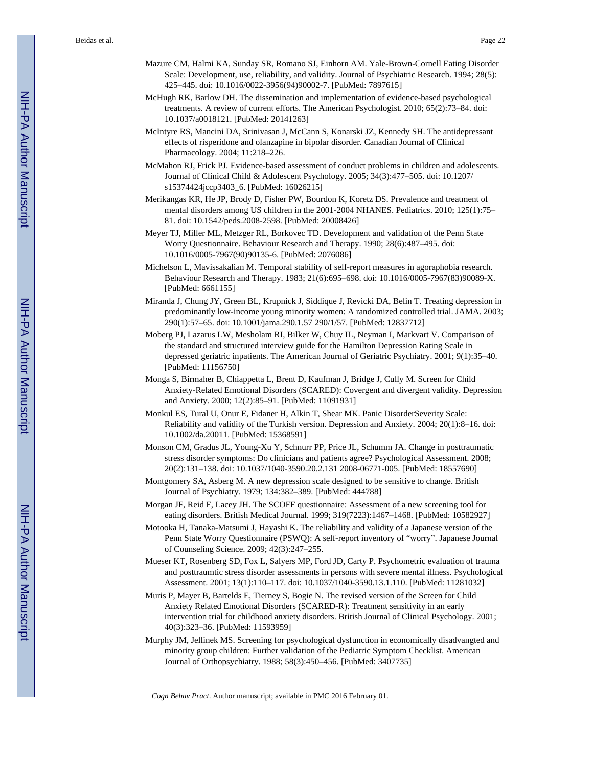- Mazure CM, Halmi KA, Sunday SR, Romano SJ, Einhorn AM. Yale-Brown-Cornell Eating Disorder Scale: Development, use, reliability, and validity. Journal of Psychiatric Research. 1994; 28(5): 425–445. doi: 10.1016/0022-3956(94)90002-7. [PubMed: 7897615]
- McHugh RK, Barlow DH. The dissemination and implementation of evidence-based psychological treatments. A review of current efforts. The American Psychologist. 2010; 65(2):73–84. doi: 10.1037/a0018121. [PubMed: 20141263]
- McIntyre RS, Mancini DA, Srinivasan J, McCann S, Konarski JZ, Kennedy SH. The antidepressant effects of risperidone and olanzapine in bipolar disorder. Canadian Journal of Clinical Pharmacology. 2004; 11:218–226.
- McMahon RJ, Frick PJ. Evidence-based assessment of conduct problems in children and adolescents. Journal of Clinical Child & Adolescent Psychology. 2005; 34(3):477–505. doi: 10.1207/ s15374424jccp3403\_6. [PubMed: 16026215]
- Merikangas KR, He JP, Brody D, Fisher PW, Bourdon K, Koretz DS. Prevalence and treatment of mental disorders among US children in the 2001-2004 NHANES. Pediatrics. 2010; 125(1):75– 81. doi: 10.1542/peds.2008-2598. [PubMed: 20008426]
- Meyer TJ, Miller ML, Metzger RL, Borkovec TD. Development and validation of the Penn State Worry Questionnaire. Behaviour Research and Therapy. 1990; 28(6):487–495. doi: 10.1016/0005-7967(90)90135-6. [PubMed: 2076086]
- Michelson L, Mavissakalian M. Temporal stability of self-report measures in agoraphobia research. Behaviour Research and Therapy. 1983; 21(6):695–698. doi: 10.1016/0005-7967(83)90089-X. [PubMed: 6661155]
- Miranda J, Chung JY, Green BL, Krupnick J, Siddique J, Revicki DA, Belin T. Treating depression in predominantly low-income young minority women: A randomized controlled trial. JAMA. 2003; 290(1):57–65. doi: 10.1001/jama.290.1.57 290/1/57. [PubMed: 12837712]
- Moberg PJ, Lazarus LW, Mesholam RI, Bilker W, Chuy IL, Neyman I, Markvart V. Comparison of the standard and structured interview guide for the Hamilton Depression Rating Scale in depressed geriatric inpatients. The American Journal of Geriatric Psychiatry. 2001; 9(1):35–40. [PubMed: 11156750]
- Monga S, Birmaher B, Chiappetta L, Brent D, Kaufman J, Bridge J, Cully M. Screen for Child Anxiety-Related Emotional Disorders (SCARED): Covergent and divergent validity. Depression and Anxiety. 2000; 12(2):85–91. [PubMed: 11091931]
- Monkul ES, Tural U, Onur E, Fidaner H, Alkin T, Shear MK. Panic DisorderSeverity Scale: Reliability and validity of the Turkish version. Depression and Anxiety. 2004; 20(1):8–16. doi: 10.1002/da.20011. [PubMed: 15368591]
- Monson CM, Gradus JL, Young-Xu Y, Schnurr PP, Price JL, Schumm JA. Change in posttraumatic stress disorder symptoms: Do clinicians and patients agree? Psychological Assessment. 2008; 20(2):131–138. doi: 10.1037/1040-3590.20.2.131 2008-06771-005. [PubMed: 18557690]
- Montgomery SA, Asberg M. A new depression scale designed to be sensitive to change. British Journal of Psychiatry. 1979; 134:382–389. [PubMed: 444788]
- Morgan JF, Reid F, Lacey JH. The SCOFF questionnaire: Assessment of a new screening tool for eating disorders. British Medical Journal. 1999; 319(7223):1467–1468. [PubMed: 10582927]
- Motooka H, Tanaka-Matsumi J, Hayashi K. The reliability and validity of a Japanese version of the Penn State Worry Questionnaire (PSWQ): A self-report inventory of "worry". Japanese Journal of Counseling Science. 2009; 42(3):247–255.
- Mueser KT, Rosenberg SD, Fox L, Salyers MP, Ford JD, Carty P. Psychometric evaluation of trauma and posttraumtic stress disorder assessments in persons with severe mental illness. Psychological Assessment. 2001; 13(1):110–117. doi: 10.1037/1040-3590.13.1.110. [PubMed: 11281032]
- Muris P, Mayer B, Bartelds E, Tierney S, Bogie N. The revised version of the Screen for Child Anxiety Related Emotional Disorders (SCARED-R): Treatment sensitivity in an early intervention trial for childhood anxiety disorders. British Journal of Clinical Psychology. 2001; 40(3):323–36. [PubMed: 11593959]
- Murphy JM, Jellinek MS. Screening for psychological dysfunction in economically disadvangted and minority group children: Further validation of the Pediatric Symptom Checklist. American Journal of Orthopsychiatry. 1988; 58(3):450–456. [PubMed: 3407735]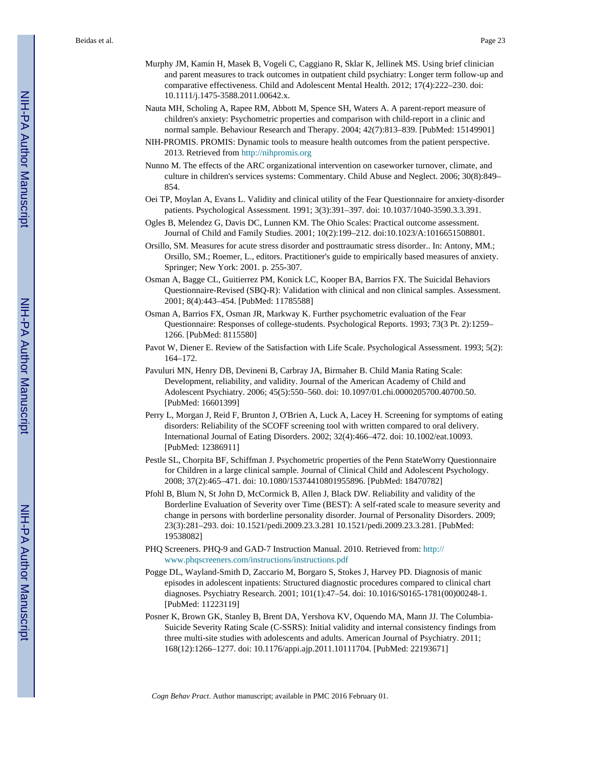- Murphy JM, Kamin H, Masek B, Vogeli C, Caggiano R, Sklar K, Jellinek MS. Using brief clinician and parent measures to track outcomes in outpatient child psychiatry: Longer term follow-up and comparative effectiveness. Child and Adolescent Mental Health. 2012; 17(4):222–230. doi: 10.1111/j.1475-3588.2011.00642.x.
- Nauta MH, Scholing A, Rapee RM, Abbott M, Spence SH, Waters A. A parent-report measure of children's anxiety: Psychometric properties and comparison with child-report in a clinic and normal sample. Behaviour Research and Therapy. 2004; 42(7):813–839. [PubMed: 15149901]
- NIH-PROMIS. PROMIS: Dynamic tools to measure health outcomes from the patient perspective. 2013. Retrieved from<http://nihpromis.org>
- Nunno M. The effects of the ARC organizational intervention on caseworker turnover, climate, and culture in children's services systems: Commentary. Child Abuse and Neglect. 2006; 30(8):849– 854.
- Oei TP, Moylan A, Evans L. Validity and clinical utility of the Fear Questionnaire for anxiety-disorder patients. Psychological Assessment. 1991; 3(3):391–397. doi: 10.1037/1040-3590.3.3.391.
- Ogles B, Melendez G, Davis DC, Lunnen KM. The Ohio Scales: Practical outcome assessment. Journal of Child and Family Studies. 2001; 10(2):199–212. doi:10.1023/A:1016651508801.
- Orsillo, SM. Measures for acute stress disorder and posttraumatic stress disorder.. In: Antony, MM.; Orsillo, SM.; Roemer, L., editors. Practitioner's guide to empirically based measures of anxiety. Springer; New York: 2001. p. 255-307.
- Osman A, Bagge CL, Guitierrez PM, Konick LC, Kooper BA, Barrios FX. The Suicidal Behaviors Questionnaire-Revised (SBQ-R): Validation with clinical and non clinical samples. Assessment. 2001; 8(4):443–454. [PubMed: 11785588]
- Osman A, Barrios FX, Osman JR, Markway K. Further psychometric evaluation of the Fear Questionnaire: Responses of college-students. Psychological Reports. 1993; 73(3 Pt. 2):1259– 1266. [PubMed: 8115580]
- Pavot W, Diener E. Review of the Satisfaction with Life Scale. Psychological Assessment. 1993; 5(2): 164–172.
- Pavuluri MN, Henry DB, Devineni B, Carbray JA, Birmaher B. Child Mania Rating Scale: Development, reliability, and validity. Journal of the American Academy of Child and Adolescent Psychiatry. 2006; 45(5):550–560. doi: 10.1097/01.chi.0000205700.40700.50. [PubMed: 16601399]
- Perry L, Morgan J, Reid F, Brunton J, O'Brien A, Luck A, Lacey H. Screening for symptoms of eating disorders: Reliability of the SCOFF screening tool with written compared to oral delivery. International Journal of Eating Disorders. 2002; 32(4):466–472. doi: 10.1002/eat.10093. [PubMed: 12386911]
- Pestle SL, Chorpita BF, Schiffman J. Psychometric properties of the Penn StateWorry Questionnaire for Children in a large clinical sample. Journal of Clinical Child and Adolescent Psychology. 2008; 37(2):465–471. doi: 10.1080/15374410801955896. [PubMed: 18470782]
- Pfohl B, Blum N, St John D, McCormick B, Allen J, Black DW. Reliability and validity of the Borderline Evaluation of Severity over Time (BEST): A self-rated scale to measure severity and change in persons with borderline personality disorder. Journal of Personality Disorders. 2009; 23(3):281–293. doi: 10.1521/pedi.2009.23.3.281 10.1521/pedi.2009.23.3.281. [PubMed: 19538082]
- PHQ Screeners. PHQ-9 and GAD-7 Instruction Manual. 2010. Retrieved from: [http://](http://www.phqscreeners.com/instructions/instructions.pdf) [www.phqscreeners.com/instructions/instructions.pdf](http://www.phqscreeners.com/instructions/instructions.pdf)
- Pogge DL, Wayland-Smith D, Zaccario M, Borgaro S, Stokes J, Harvey PD. Diagnosis of manic episodes in adolescent inpatients: Structured diagnostic procedures compared to clinical chart diagnoses. Psychiatry Research. 2001; 101(1):47–54. doi: 10.1016/S0165-1781(00)00248-1. [PubMed: 11223119]
- Posner K, Brown GK, Stanley B, Brent DA, Yershova KV, Oquendo MA, Mann JJ. The Columbia-Suicide Severity Rating Scale (C-SSRS): Initial validity and internal consistency findings from three multi-site studies with adolescents and adults. American Journal of Psychiatry. 2011; 168(12):1266–1277. doi: 10.1176/appi.ajp.2011.10111704. [PubMed: 22193671]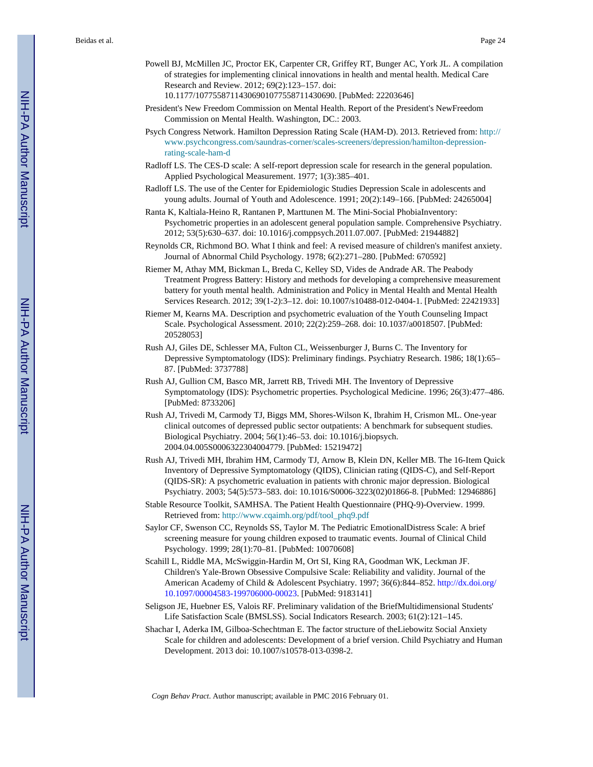Powell BJ, McMillen JC, Proctor EK, Carpenter CR, Griffey RT, Bunger AC, York JL. A compilation of strategies for implementing clinical innovations in health and mental health. Medical Care Research and Review. 2012; 69(2):123–157. doi:

10.1177/10775587114306901077558711430690. [PubMed: 22203646]

- President's New Freedom Commission on Mental Health. Report of the President's NewFreedom Commission on Mental Health. Washington, DC.: 2003.
- Psych Congress Network. Hamilton Depression Rating Scale (HAM-D). 2013. Retrieved from: [http://](http://www.psychcongress.com/saundras-corner/scales-screeners/depression/hamilton-depression-rating-scale-ham-d) [www.psychcongress.com/saundras-corner/scales-screeners/depression/hamilton-depression](http://www.psychcongress.com/saundras-corner/scales-screeners/depression/hamilton-depression-rating-scale-ham-d)[rating-scale-ham-d](http://www.psychcongress.com/saundras-corner/scales-screeners/depression/hamilton-depression-rating-scale-ham-d)
- Radloff LS. The CES-D scale: A self-report depression scale for research in the general population. Applied Psychological Measurement. 1977; 1(3):385–401.
- Radloff LS. The use of the Center for Epidemiologic Studies Depression Scale in adolescents and young adults. Journal of Youth and Adolescence. 1991; 20(2):149–166. [PubMed: 24265004]
- Ranta K, Kaltiala-Heino R, Rantanen P, Marttunen M. The Mini-Social PhobiaInventory: Psychometric properties in an adolescent general population sample. Comprehensive Psychiatry. 2012; 53(5):630–637. doi: 10.1016/j.comppsych.2011.07.007. [PubMed: 21944882]
- Reynolds CR, Richmond BO. What I think and feel: A revised measure of children's manifest anxiety. Journal of Abnormal Child Psychology. 1978; 6(2):271–280. [PubMed: 670592]
- Riemer M, Athay MM, Bickman L, Breda C, Kelley SD, Vides de Andrade AR. The Peabody Treatment Progress Battery: History and methods for developing a comprehensive measurement battery for youth mental health. Administration and Policy in Mental Health and Mental Health Services Research. 2012; 39(1-2):3–12. doi: 10.1007/s10488-012-0404-1. [PubMed: 22421933]
- Riemer M, Kearns MA. Description and psychometric evaluation of the Youth Counseling Impact Scale. Psychological Assessment. 2010; 22(2):259–268. doi: 10.1037/a0018507. [PubMed: 20528053]
- Rush AJ, Giles DE, Schlesser MA, Fulton CL, Weissenburger J, Burns C. The Inventory for Depressive Symptomatology (IDS): Preliminary findings. Psychiatry Research. 1986; 18(1):65– 87. [PubMed: 3737788]
- Rush AJ, Gullion CM, Basco MR, Jarrett RB, Trivedi MH. The Inventory of Depressive Symptomatology (IDS): Psychometric properties. Psychological Medicine. 1996; 26(3):477–486. [PubMed: 8733206]
- Rush AJ, Trivedi M, Carmody TJ, Biggs MM, Shores-Wilson K, Ibrahim H, Crismon ML. One-year clinical outcomes of depressed public sector outpatients: A benchmark for subsequent studies. Biological Psychiatry. 2004; 56(1):46–53. doi: 10.1016/j.biopsych. 2004.04.005S0006322304004779. [PubMed: 15219472]
- Rush AJ, Trivedi MH, Ibrahim HM, Carmody TJ, Arnow B, Klein DN, Keller MB. The 16-Item Quick Inventory of Depressive Symptomatology (QIDS), Clinician rating (QIDS-C), and Self-Report (QIDS-SR): A psychometric evaluation in patients with chronic major depression. Biological Psychiatry. 2003; 54(5):573–583. doi: 10.1016/S0006-3223(02)01866-8. [PubMed: 12946886]
- Stable Resource Toolkit, SAMHSA. The Patient Health Questionnaire (PHQ-9)-Overview. 1999. Retrieved from: [http://www.cqaimh.org/pdf/tool\\_phq9.pdf](http://www.cqaimh.org/pdf/tool_phq9.pdf)
- Saylor CF, Swenson CC, Reynolds SS, Taylor M. The Pediatric EmotionalDistress Scale: A brief screening measure for young children exposed to traumatic events. Journal of Clinical Child Psychology. 1999; 28(1):70–81. [PubMed: 10070608]
- Scahill L, Riddle MA, McSwiggin-Hardin M, Ort SI, King RA, Goodman WK, Leckman JF. Children's Yale-Brown Obsessive Compulsive Scale: Reliability and validity. Journal of the American Academy of Child & Adolescent Psychiatry. 1997; 36(6):844–852. [http://dx.doi.org/](http://dx.doi.org/10.1097/00004583-199706000-00023) [10.1097/00004583-199706000-00023.](http://dx.doi.org/10.1097/00004583-199706000-00023) [PubMed: 9183141]
- Seligson JE, Huebner ES, Valois RF. Preliminary validation of the BriefMultidimensional Students' Life Satisfaction Scale (BMSLSS). Social Indicators Research. 2003; 61(2):121–145.
- Shachar I, Aderka IM, Gilboa-Schechtman E. The factor structure of theLiebowitz Social Anxiety Scale for children and adolescents: Development of a brief version. Child Psychiatry and Human Development. 2013 doi: 10.1007/s10578-013-0398-2.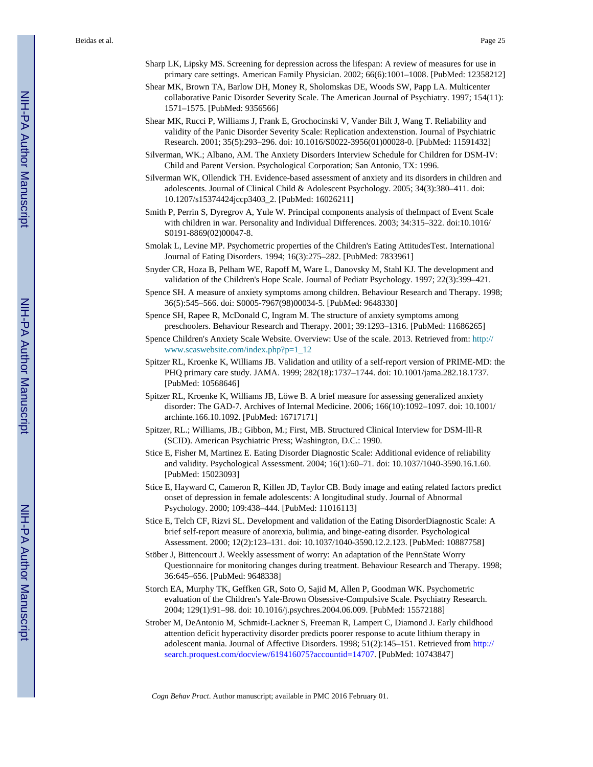- Sharp LK, Lipsky MS. Screening for depression across the lifespan: A review of measures for use in primary care settings. American Family Physician. 2002; 66(6):1001–1008. [PubMed: 12358212]
- Shear MK, Brown TA, Barlow DH, Money R, Sholomskas DE, Woods SW, Papp LA. Multicenter collaborative Panic Disorder Severity Scale. The American Journal of Psychiatry. 1997; 154(11): 1571–1575. [PubMed: 9356566]
- Shear MK, Rucci P, Williams J, Frank E, Grochocinski V, Vander Bilt J, Wang T. Reliability and validity of the Panic Disorder Severity Scale: Replication andextenstion. Journal of Psychiatric Research. 2001; 35(5):293–296. doi: 10.1016/S0022-3956(01)00028-0. [PubMed: 11591432]
- Silverman, WK.; Albano, AM. The Anxiety Disorders Interview Schedule for Children for DSM-IV: Child and Parent Version. Psychological Corporation; San Antonio, TX: 1996.
- Silverman WK, Ollendick TH. Evidence-based assessment of anxiety and its disorders in children and adolescents. Journal of Clinical Child & Adolescent Psychology. 2005; 34(3):380–411. doi: 10.1207/s15374424jccp3403\_2. [PubMed: 16026211]
- Smith P, Perrin S, Dyregrov A, Yule W. Principal components analysis of theImpact of Event Scale with children in war. Personality and Individual Differences. 2003; 34:315–322. doi:10.1016/ S0191-8869(02)00047-8.
- Smolak L, Levine MP. Psychometric properties of the Children's Eating AttitudesTest. International Journal of Eating Disorders. 1994; 16(3):275–282. [PubMed: 7833961]
- Snyder CR, Hoza B, Pelham WE, Rapoff M, Ware L, Danovsky M, Stahl KJ. The development and validation of the Children's Hope Scale. Journal of Pediatr Psychology. 1997; 22(3):399–421.
- Spence SH. A measure of anxiety symptoms among children. Behaviour Research and Therapy. 1998; 36(5):545–566. doi: S0005-7967(98)00034-5. [PubMed: 9648330]
- Spence SH, Rapee R, McDonald C, Ingram M. The structure of anxiety symptoms among preschoolers. Behaviour Research and Therapy. 2001; 39:1293–1316. [PubMed: 11686265]
- Spence Children's Anxiety Scale Website. Overview: Use of the scale. 2013. Retrieved from: [http://](http://www.scaswebsite.com/index.php?p=1_12) [www.scaswebsite.com/index.php?p=1\\_12](http://www.scaswebsite.com/index.php?p=1_12)
- Spitzer RL, Kroenke K, Williams JB. Validation and utility of a self-report version of PRIME-MD: the PHQ primary care study. JAMA. 1999; 282(18):1737–1744. doi: 10.1001/jama.282.18.1737. [PubMed: 10568646]
- Spitzer RL, Kroenke K, Williams JB, Löwe B. A brief measure for assessing generalized anxiety disorder: The GAD-7. Archives of Internal Medicine. 2006; 166(10):1092–1097. doi: 10.1001/ archinte.166.10.1092. [PubMed: 16717171]
- Spitzer, RL.; Williams, JB.; Gibbon, M.; First, MB. Structured Clinical Interview for DSM-Ill-R (SCID). American Psychiatric Press; Washington, D.C.: 1990.
- Stice E, Fisher M, Martinez E. Eating Disorder Diagnostic Scale: Additional evidence of reliability and validity. Psychological Assessment. 2004; 16(1):60–71. doi: 10.1037/1040-3590.16.1.60. [PubMed: 15023093]
- Stice E, Hayward C, Cameron R, Killen JD, Taylor CB. Body image and eating related factors predict onset of depression in female adolescents: A longitudinal study. Journal of Abnormal Psychology. 2000; 109:438–444. [PubMed: 11016113]
- Stice E, Telch CF, Rizvi SL. Development and validation of the Eating DisorderDiagnostic Scale: A brief self-report measure of anorexia, bulimia, and binge-eating disorder. Psychological Assessment. 2000; 12(2):123–131. doi: 10.1037/1040-3590.12.2.123. [PubMed: 10887758]
- Stöber J, Bittencourt J. Weekly assessment of worry: An adaptation of the PennState Worry Questionnaire for monitoring changes during treatment. Behaviour Research and Therapy. 1998; 36:645–656. [PubMed: 9648338]
- Storch EA, Murphy TK, Geffken GR, Soto O, Sajid M, Allen P, Goodman WK. Psychometric evaluation of the Children's Yale-Brown Obsessive-Compulsive Scale. Psychiatry Research. 2004; 129(1):91–98. doi: 10.1016/j.psychres.2004.06.009. [PubMed: 15572188]
- Strober M, DeAntonio M, Schmidt-Lackner S, Freeman R, Lampert C, Diamond J. Early childhood attention deficit hyperactivity disorder predicts poorer response to acute lithium therapy in adolescent mania. Journal of Affective Disorders. 1998; 51(2):145–151. Retrieved from [http://](http://search.proquest.com/docview/619416075?accountid=14707) [search.proquest.com/docview/619416075?accountid=14707.](http://search.proquest.com/docview/619416075?accountid=14707) [PubMed: 10743847]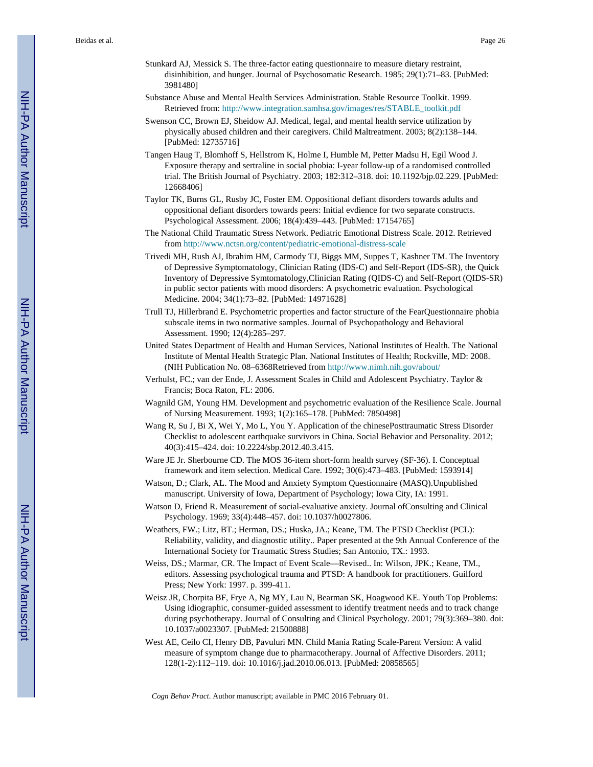- Stunkard AJ, Messick S. The three-factor eating questionnaire to measure dietary restraint, disinhibition, and hunger. Journal of Psychosomatic Research. 1985; 29(1):71–83. [PubMed: 3981480]
- Substance Abuse and Mental Health Services Administration. Stable Resource Toolkit. 1999. Retrieved from: [http://www.integration.samhsa.gov/images/res/STABLE\\_toolkit.pdf](http://www.integration.samhsa.gov/images/res/STABLE_toolkit.pdf)
- Swenson CC, Brown EJ, Sheidow AJ. Medical, legal, and mental health service utilization by physically abused children and their caregivers. Child Maltreatment. 2003; 8(2):138–144. [PubMed: 12735716]
- Tangen Haug T, Blomhoff S, Hellstrom K, Holme I, Humble M, Petter Madsu H, Egil Wood J. Exposure therapy and sertraline in social phobia: I-year follow-up of a randomised controlled trial. The British Journal of Psychiatry. 2003; 182:312–318. doi: 10.1192/bjp.02.229. [PubMed: 12668406]
- Taylor TK, Burns GL, Rusby JC, Foster EM. Oppositional defiant disorders towards adults and oppositional defiant disorders towards peers: Initial evdience for two separate constructs. Psychological Assessment. 2006; 18(4):439–443. [PubMed: 17154765]
- The National Child Traumatic Stress Network. Pediatric Emotional Distress Scale. 2012. Retrieved from <http://www.nctsn.org/content/pediatric-emotional-distress-scale>
- Trivedi MH, Rush AJ, Ibrahim HM, Carmody TJ, Biggs MM, Suppes T, Kashner TM. The Inventory of Depressive Symptomatology, Clinician Rating (IDS-C) and Self-Report (IDS-SR), the Quick Inventory of Depressive Symtomatology,Clinician Rating (QIDS-C) and Self-Report (QIDS-SR) in public sector patients with mood disorders: A psychometric evaluation. Psychological Medicine. 2004; 34(1):73–82. [PubMed: 14971628]
- Trull TJ, Hillerbrand E. Psychometric properties and factor structure of the FearQuestionnaire phobia subscale items in two normative samples. Journal of Psychopathology and Behavioral Assessment. 1990; 12(4):285–297.
- United States Department of Health and Human Services, National Institutes of Health. The National Institute of Mental Health Strategic Plan. National Institutes of Health; Rockville, MD: 2008. (NIH Publication No. 08–6368Retrieved from<http://www.nimh.nih.gov/about/>
- Verhulst, FC.; van der Ende, J. Assessment Scales in Child and Adolescent Psychiatry. Taylor & Francis; Boca Raton, FL: 2006.
- Wagnild GM, Young HM. Development and psychometric evaluation of the Resilience Scale. Journal of Nursing Measurement. 1993; 1(2):165–178. [PubMed: 7850498]
- Wang R, Su J, Bi X, Wei Y, Mo L, You Y. Application of the chinesePosttraumatic Stress Disorder Checklist to adolescent earthquake survivors in China. Social Behavior and Personality. 2012; 40(3):415–424. doi: 10.2224/sbp.2012.40.3.415.
- Ware JE Jr. Sherbourne CD. The MOS 36-item short-form health survey (SF-36). I. Conceptual framework and item selection. Medical Care. 1992; 30(6):473–483. [PubMed: 1593914]
- Watson, D.; Clark, AL. The Mood and Anxiety Symptom Questionnaire (MASQ).Unpublished manuscript. University of Iowa, Department of Psychology; Iowa City, IA: 1991.
- Watson D, Friend R. Measurement of social-evaluative anxiety. Journal ofConsulting and Clinical Psychology. 1969; 33(4):448–457. doi: 10.1037/h0027806.
- Weathers, FW.; Litz, BT.; Herman, DS.; Huska, JA.; Keane, TM. The PTSD Checklist (PCL): Reliability, validity, and diagnostic utility.. Paper presented at the 9th Annual Conference of the International Society for Traumatic Stress Studies; San Antonio, TX.: 1993.
- Weiss, DS.; Marmar, CR. The Impact of Event Scale—Revised.. In: Wilson, JPK.; Keane, TM., editors. Assessing psychological trauma and PTSD: A handbook for practitioners. Guilford Press; New York: 1997. p. 399-411.
- Weisz JR, Chorpita BF, Frye A, Ng MY, Lau N, Bearman SK, Hoagwood KE. Youth Top Problems: Using idiographic, consumer-guided assessment to identify treatment needs and to track change during psychotherapy. Journal of Consulting and Clinical Psychology. 2001; 79(3):369–380. doi: 10.1037/a0023307. [PubMed: 21500888]
- West AE, Ceilo CI, Henry DB, Pavuluri MN. Child Mania Rating Scale-Parent Version: A valid measure of symptom change due to pharmacotherapy. Journal of Affective Disorders. 2011; 128(1-2):112–119. doi: 10.1016/j.jad.2010.06.013. [PubMed: 20858565]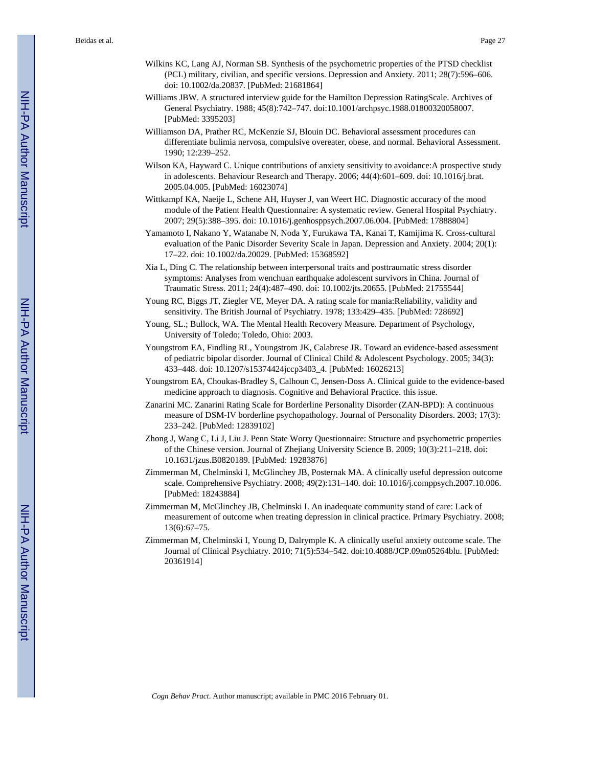- Wilkins KC, Lang AJ, Norman SB. Synthesis of the psychometric properties of the PTSD checklist (PCL) military, civilian, and specific versions. Depression and Anxiety. 2011; 28(7):596–606. doi: 10.1002/da.20837. [PubMed: 21681864]
- Williams JBW. A structured interview guide for the Hamilton Depression RatingScale. Archives of General Psychiatry. 1988; 45(8):742–747. doi:10.1001/archpsyc.1988.01800320058007. [PubMed: 3395203]
- Williamson DA, Prather RC, McKenzie SJ, Blouin DC. Behavioral assessment procedures can differentiate bulimia nervosa, compulsive overeater, obese, and normal. Behavioral Assessment. 1990; 12:239–252.
- Wilson KA, Hayward C. Unique contributions of anxiety sensitivity to avoidance:A prospective study in adolescents. Behaviour Research and Therapy. 2006; 44(4):601–609. doi: 10.1016/j.brat. 2005.04.005. [PubMed: 16023074]
- Wittkampf KA, Naeije L, Schene AH, Huyser J, van Weert HC. Diagnostic accuracy of the mood module of the Patient Health Questionnaire: A systematic review. General Hospital Psychiatry. 2007; 29(5):388–395. doi: 10.1016/j.genhosppsych.2007.06.004. [PubMed: 17888804]
- Yamamoto I, Nakano Y, Watanabe N, Noda Y, Furukawa TA, Kanai T, Kamijima K. Cross-cultural evaluation of the Panic Disorder Severity Scale in Japan. Depression and Anxiety. 2004; 20(1): 17–22. doi: 10.1002/da.20029. [PubMed: 15368592]
- Xia L, Ding C. The relationship between interpersonal traits and posttraumatic stress disorder symptoms: Analyses from wenchuan earthquake adolescent survivors in China. Journal of Traumatic Stress. 2011; 24(4):487–490. doi: 10.1002/jts.20655. [PubMed: 21755544]
- Young RC, Biggs JT, Ziegler VE, Meyer DA. A rating scale for mania:Reliability, validity and sensitivity. The British Journal of Psychiatry. 1978; 133:429–435. [PubMed: 728692]
- Young, SL.; Bullock, WA. The Mental Health Recovery Measure. Department of Psychology, University of Toledo; Toledo, Ohio: 2003.
- Youngstrom EA, Findling RL, Youngstrom JK, Calabrese JR. Toward an evidence-based assessment of pediatric bipolar disorder. Journal of Clinical Child & Adolescent Psychology. 2005; 34(3): 433–448. doi: 10.1207/s15374424jccp3403\_4. [PubMed: 16026213]
- Youngstrom EA, Choukas-Bradley S, Calhoun C, Jensen-Doss A. Clinical guide to the evidence-based medicine approach to diagnosis. Cognitive and Behavioral Practice. this issue.
- Zanarini MC. Zanarini Rating Scale for Borderline Personality Disorder (ZAN-BPD): A continuous measure of DSM-IV borderline psychopathology. Journal of Personality Disorders. 2003; 17(3): 233–242. [PubMed: 12839102]
- Zhong J, Wang C, Li J, Liu J. Penn State Worry Questionnaire: Structure and psychometric properties of the Chinese version. Journal of Zhejiang University Science B. 2009; 10(3):211–218. doi: 10.1631/jzus.B0820189. [PubMed: 19283876]
- Zimmerman M, Chelminski I, McGlinchey JB, Posternak MA. A clinically useful depression outcome scale. Comprehensive Psychiatry. 2008; 49(2):131–140. doi: 10.1016/j.comppsych.2007.10.006. [PubMed: 18243884]
- Zimmerman M, McGlinchey JB, Chelminski I. An inadequate community stand of care: Lack of measurement of outcome when treating depression in clinical practice. Primary Psychiatry. 2008; 13(6):67–75.
- Zimmerman M, Chelminski I, Young D, Dalrymple K. A clinically useful anxiety outcome scale. The Journal of Clinical Psychiatry. 2010; 71(5):534–542. doi:10.4088/JCP.09m05264blu. [PubMed: 20361914]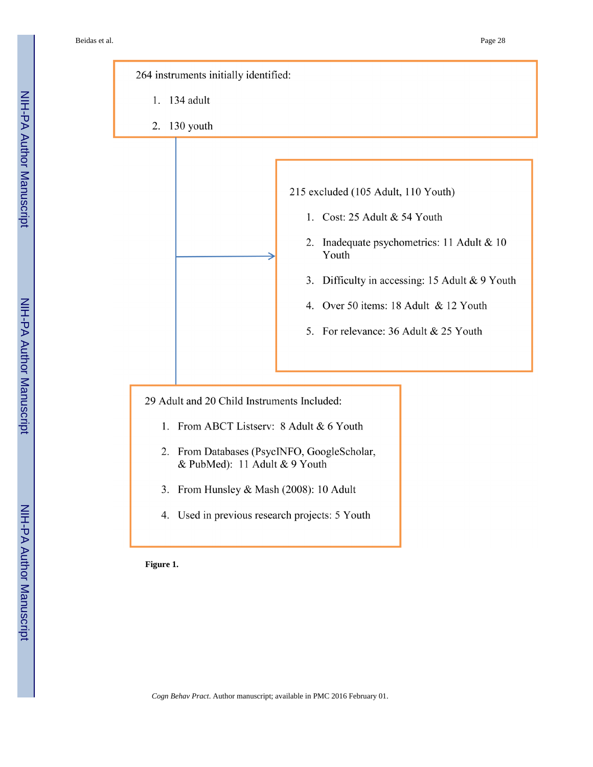264 instruments initially identified:

- 1. 134 adult
- 2. 130 youth

215 excluded (105 Adult, 110 Youth) 1. Cost: 25 Adult & 54 Youth 2. Inadequate psychometrics: 11 Adult & 10 Youth 3. Difficulty in accessing: 15 Adult & 9 Youth 4. Over 50 items: 18 Adult & 12 Youth 5. For relevance: 36 Adult & 25 Youth

29 Adult and 20 Child Instruments Included:

- 1. From ABCT Listserv: 8 Adult & 6 Youth
- 2. From Databases (PsycINFO, GoogleScholar, & PubMed): 11 Adult & 9 Youth
- 3. From Hunsley & Mash (2008): 10 Adult
- 4. Used in previous research projects: 5 Youth

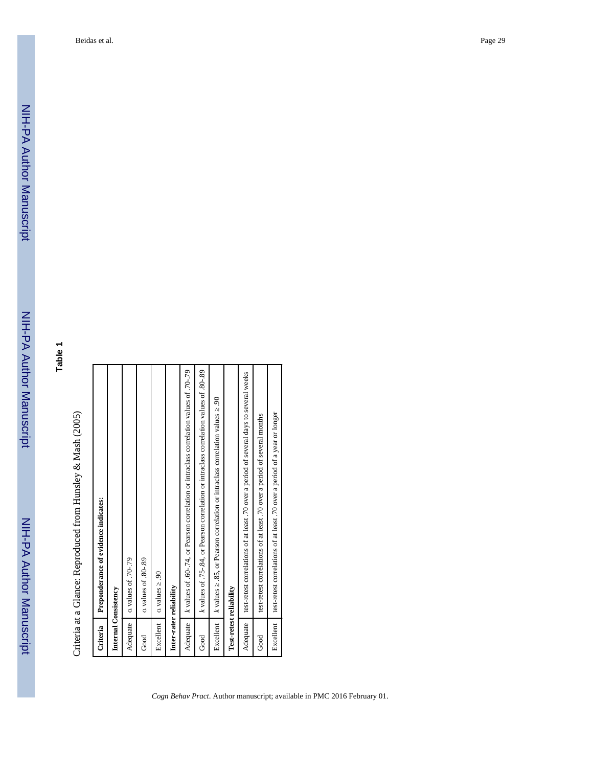# **Table 1**

Criteria at a Glance: Reproduced from Hunsley & Mash (2005) Criteria at a Glance: Reproduced from Hunsley & Mash (2005)

| Criteria                | Preponderance of evidence indicates:                                                    |
|-------------------------|-----------------------------------------------------------------------------------------|
| Internal Consistency    |                                                                                         |
| Adequate                | a values of .70-.79                                                                     |
| Good                    | a values of .80-.89                                                                     |
| Excellent               | $\mathcal{S}$<br>a values                                                               |
| Inter-rater reliability |                                                                                         |
| Adequate                | k values of .60-.74, or Pearson correlation or intraclass correlation values of .70-.79 |
| Good                    | k values of .75-.84, or Pearson correlation or intraclass correlation values of .80-.89 |
| Excellent               | $\tilde{e}$<br>k values .85, or Pearson correlation or intraclass correlation values    |
| Test-retest reliability |                                                                                         |
| Adequate                | test-retest correlations of at least .70 over a period of several days to several weeks |
| Good                    | test-retest correlations of at least .70 over a period of several months                |
| Excellent               | test-retest correlations of at least .70 over a period of a year or longer              |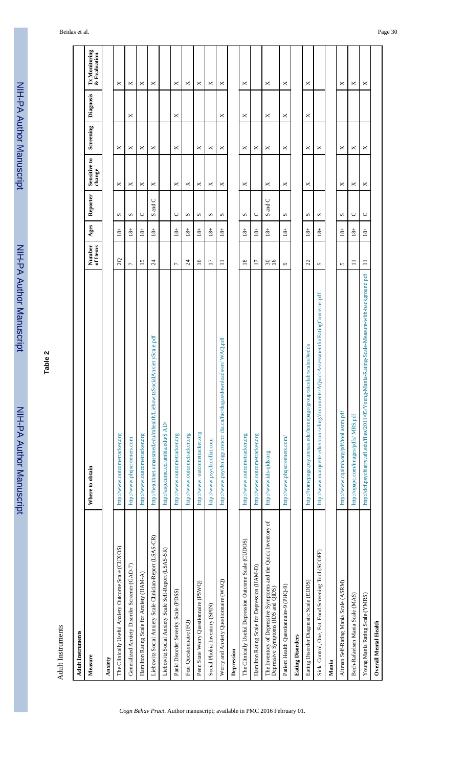| $\ddot{\phantom{a}}$ |
|----------------------|
|                      |
|                      |
| <b>Alcune</b>        |
|                      |
|                      |
|                      |
|                      |
|                      |
|                      |
|                      |
|                      |
|                      |
|                      |
|                      |
|                      |

<u>ipt</u>

**Table 2**

Adult Instruments Adult Instruments

| <b>Adult Instruments</b>                                                                              |                                                                                                      |                    |                     |                       |                        |           |           |                                      |
|-------------------------------------------------------------------------------------------------------|------------------------------------------------------------------------------------------------------|--------------------|---------------------|-----------------------|------------------------|-----------|-----------|--------------------------------------|
| Measure                                                                                               | Where to obtain                                                                                      | Number<br>of Items | Ages                | Reporter              | Sensitive to<br>change | Screening | Diagnosis | <b>Tx Monitoring</b><br>& Evaluation |
| Anxiety                                                                                               |                                                                                                      |                    |                     |                       |                        |           |           |                                      |
| The Clinically Useful Anxiety Outcome Scale (CUXOS)                                                   | http://www.outcometracker.org                                                                        | $\overline{Q}$     | $\ddot{\mathbf{8}}$ | S                     | ×                      | ×         |           | ×                                    |
| Generalized Anxiety Disorder Screener (GAD-7)                                                         | http://www.phqscreeners.com                                                                          | $\overline{ }$     | $18 +$              | S                     | ×                      | ×         | ×         | ×                                    |
| Hamilton Rating Scale for Anxiety (HAM-A)                                                             | http://www.outcometracker.org                                                                        | $\overline{15}$    | $18 +$              | ပ                     | ×                      | ×         |           | ×                                    |
| Liebowitz Social Anxiety Scale Clinician-Report (LSAS-CR)                                             | http://healthnet.umassmed.edu/mhealth/LiebowitzSocialAnxiet yScale.pdf                               | $\overline{z}$     | $18 +$              | ◡<br>and<br>S         | ×                      | ×         |           | ×                                    |
| Liebowitz Social Anxiety Scale Self-Report (LSAS-SR)                                                  | http://asp.cumc.columbia.edu/S AD/                                                                   |                    |                     |                       |                        |           |           |                                      |
| Panic Disorder Severity Scale (PDSS)                                                                  | http://www.outcometracker.org                                                                        | $\overline{r}$     | $18 +$              | $\cup$                | ×                      | ×         | ×         | ×                                    |
| Fear Questionnaire (FQ)                                                                               | http://www.outcometracker.org                                                                        | $\overline{z}$     | $18 +$              | S                     | ×                      |           |           | ×                                    |
| Penn State Worry Questionnaire (PSWQ)                                                                 | http://www.outcometracker.org                                                                        | $\overline{16}$    | $18 +$              | $\boldsymbol{\infty}$ | ×                      | ×         |           | ×                                    |
| Social Phobia Inventory (SPIN)                                                                        | http://www.psychtoolkit.com                                                                          | $\overline{17}$    | $18 +$              | S                     | ×                      | ×         |           | ×                                    |
| Worry and Anxiety Questionnaire (WAQ)                                                                 | http://www.psychology.concor dia.ca/fac/dugas/downloads/en/WAQ.pdf                                   | $\equiv$           | $18 +$              | S                     | ×                      | ×         | ×         | ×                                    |
| Depression                                                                                            |                                                                                                      |                    |                     |                       |                        |           |           |                                      |
| The Clinically Useful Depression Outcome Scale (CUDOS)                                                | http://www.outcometracker.org                                                                        | $\frac{8}{18}$     | $18 +$              | S                     | ×                      | ×         | ×         | ×                                    |
| Hamilton Rating Scale for Depression (HAM-D)                                                          | http://www.outcometracker.org                                                                        | $\overline{17}$    | $\dot{\mathbf{8}}$  | $\cup$                |                        | ×         |           |                                      |
| The Inventory of Depressive Symptoms and the Quick Inventory of<br>Depressive Symptoms (IDS and QIDS) | http://www.ids-qids.org                                                                              | $\frac{91}{6}$     | $18 +$              | ပ<br>and<br>S         | ×                      | ×         | ×         | ×                                    |
| Patient Health Questionnaire-9 (PHQ-9)                                                                | http://www.phqscreeners.com/                                                                         | $\sigma$           | $\dot{\mathbf{8}}$  | S                     | ×                      | ×         | ×         | ×                                    |
| <b>Eating Disorders</b>                                                                               |                                                                                                      |                    |                     |                       |                        |           |           |                                      |
| Eating Disorder Diagnostic Scale (EDDS)                                                               | http://homepage.psy.utexas.edu/homepage/group/sticelab/scales/#edds                                  | 22                 | $\overline{8}$ +    | S                     | ×                      | ×         | ×         | ×                                    |
| Sick, Control, One, Fat, Food Screening Tool (SCOFF)                                                  | QuickAssessmentforEatingConcerns.pdf<br>http://www.marquette.edu/coun seling/documents/A             | $\overline{5}$     | $18+$               | S                     |                        | ×         |           |                                      |
| Mania                                                                                                 |                                                                                                      |                    |                     |                       |                        |           |           |                                      |
| Altman Self-Rating Mania Scale (ASRM)                                                                 | http://www.cqaimh.org/pdf/tool asrm.pdf                                                              | 5                  | $\frac{1}{8}$       | S                     | ×                      | ×         |           | ×                                    |
| Bech-Rafaelsen Mania Scale (MAS)                                                                      | http://opapc.com/images/pdfs/ MRS.pdf                                                                | $\equiv$           | $18 +$              | O                     | ×                      | ×         |           | ×                                    |
| Young Mania Rating Scale (YMRS)                                                                       | ania-Rating-Scale-Measure-with-background.pdf<br>http://dcf.psychiatry.ufl.edu/files/2011/05/Young-M | $\equiv$           | $18 +$              | $\cup$                | ×                      | ×         |           | ×                                    |
| <b>Overall Mental Health</b>                                                                          |                                                                                                      |                    |                     |                       |                        |           |           |                                      |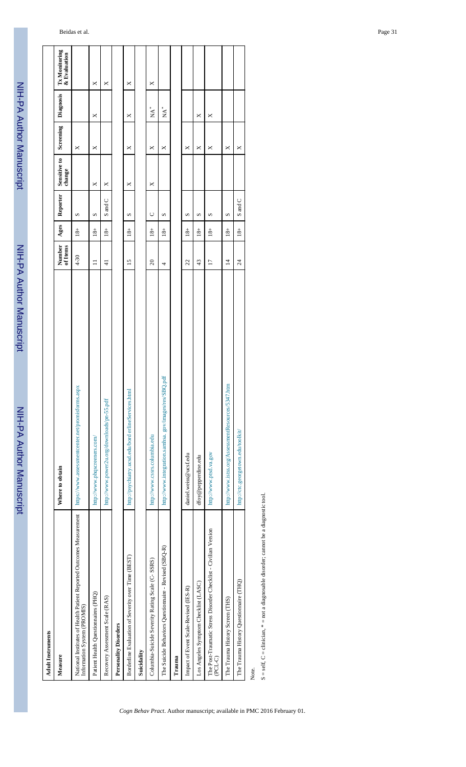| ،<br>;<br>; |
|-------------|
|             |
|             |
|             |
|             |
|             |
|             |
|             |
|             |
|             |
| ļ           |
|             |
| Ì           |
|             |
|             |
|             |
|             |
|             |
|             |
|             |
|             |
|             |
| $rac{1}{2}$ |
|             |
|             |

| <b>Adult Instruments</b>                                                                           |                                                           |                          |                          |          |                        |           |           |                                      |
|----------------------------------------------------------------------------------------------------|-----------------------------------------------------------|--------------------------|--------------------------|----------|------------------------|-----------|-----------|--------------------------------------|
| Measure                                                                                            | Where to obtain                                           | Number<br>of Items       | Ages                     | Reporter | Sensitive to<br>change | Screening | Diagnosis | <b>Tx</b> Monitoring<br>& Evaluation |
| National Institutes of Health Patient Reported Outcomes Measurement<br>Information System (PROMIS) | https://www.assessmentcenter.net/promisforms.aspx         | $4 - 30$                 | $18+$                    | S        |                        | ×         |           |                                      |
| Patient Health Questionnaires (PHQ)                                                                | http://www.phqscreeners.com/                              | $\equiv$                 | $18 +$                   | S        | ×                      | ×         | ×         | ×                                    |
| Recovery Assessment Scale (RAS)                                                                    | http://www.power2u.org/downloads/pn-55.pdf                | $\frac{4}{3}$            | $18 +$                   | S and C  | ×                      |           |           | ×                                    |
| <b>Personality Disorders</b>                                                                       |                                                           |                          |                          |          |                        |           |           |                                      |
| Borderline Evaluation of Severity over Time (BEST)                                                 | http://psychiatry.ucsd.edu/bord erlineServices.html       | $\overline{15}$          | $18 +$                   | S        | ×                      | ×         | ×         | ×                                    |
| Suicidality                                                                                        |                                                           |                          |                          |          |                        |           |           |                                      |
| Columbia-Suicide Severity Rating Scale (C- SSRS)                                                   | http://www.cssrs.columbia.edu                             | $\overline{\mathcal{L}}$ | $18+$                    | C        | ×                      | ×         | *<br>≿ّ   | ×                                    |
| The Suicide Behaviors Questionnaire - Revised (SBQ-R)                                              | h.pdf<br>http://www.integration.samhsa.gov/images/res/SBC | 4                        | $18+$                    | S        |                        | ×         | ั้≯<br>≥ี |                                      |
| Trauma                                                                                             |                                                           |                          |                          |          |                        |           |           |                                      |
| Impact of Event Scale-Revised (IES-R)                                                              | daniel.weiss@ucsf.edu                                     | 22                       | $\overline{\phantom{a}}$ | S        |                        | ×         |           |                                      |
| Los Angeles Symptom Checklist (LASC)                                                               | dfoy@pepperdine.edu                                       | 43                       | $\frac{1}{8}$            | S        |                        | ×         | ×         |                                      |
| The Post-Traumatic Stress Disorder Checklist - Civilian Version<br>(PCL-C)                         | http://www.ptsd.va.gov                                    | $\overline{17}$          | $^{18+}$                 | S        |                        | ×         | ×         |                                      |
| The Trauma History Screen (THS)                                                                    | http://www.istss.org/AssessmentResources/5347.htm         | 4                        | $18+$                    | S        |                        | ×         |           |                                      |
| The Trauma History Questionnaire (THQ)                                                             | http://ctc.georgetown.edu/toolkit/                        | 24                       | $18 +$                   | S and C  |                        | ×         |           |                                      |

 $S = self, C = chinician, * = not a diagonal be disorder; cannot be a diagnostic tool.$ S = self, C = clinician, \* = not a diagnosable disorder; cannot be a diagnostic tool.

Note.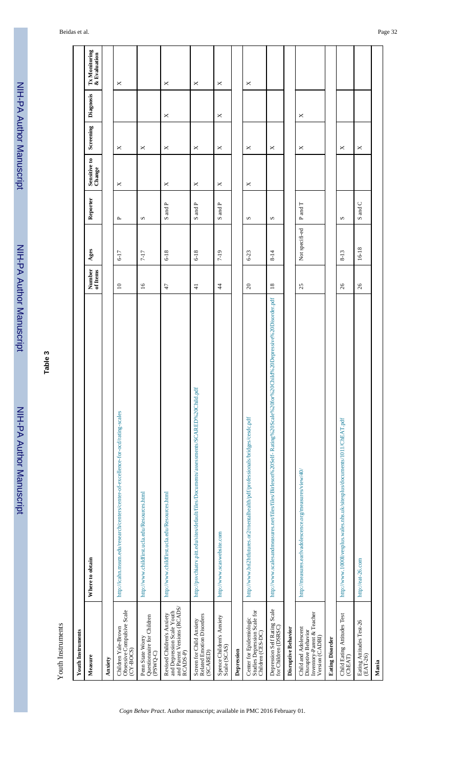Youth Instruments Youth Instruments

**Table 3**

| <b>Youth Instruments</b>                                                                            |                                                                                                                       |                    |                |                         |                        |           |           |                               |
|-----------------------------------------------------------------------------------------------------|-----------------------------------------------------------------------------------------------------------------------|--------------------|----------------|-------------------------|------------------------|-----------|-----------|-------------------------------|
| Measure                                                                                             | Where to obtain                                                                                                       | Number<br>of Items | Ages           | Reporter                | Sensitive to<br>Change | Screening | Diagnosis | Tx Monitoring<br>& Evaluation |
| Anxiety                                                                                             |                                                                                                                       |                    |                |                         |                        |           |           |                               |
| Obsessive Compulsive Scale<br>Children Yale-Brown<br>(CY-BOCS)                                      | http://icahn.mssm.edu/research/centers/center-of-excellence-for-ocd/rating-scales                                     | $\approx$          | $6 - 17$       | $\mathbf{r}$            | ×                      | ×         |           | ×                             |
| Questionnaire for Children<br>Penn State Worry<br>(PSWO-C)                                          | http://www.childfirst.ucla.edu/Resources.html                                                                         | $\overline{16}$    | $7 - 17$       | S                       |                        | ×         |           |                               |
| and Parent Versions (RCADS/<br>and Depression Scale Youth<br>Revised Children's Anxiety<br>RCADS-P) | http://www.childfirst.ucla.edu/Resources.html                                                                         | 47                 | $6 - 18$       | S and P                 | ×                      | ×         | ×         | ×                             |
| Related Emotion Disorders<br>Screen for Child Anxiety<br>(SCARED)                                   | http://psvchiatrv.pitt.edu/sites/default/files/Documents/assessments/SCARED%20Child.pdf                               | $\frac{4}{3}$      | $6 - 18$       | S and P                 | ×                      | ×         |           | ×                             |
| Spence Children's Anxiety<br>Scale (SCAS)                                                           | http://www.scaswebsite.com                                                                                            | $\ddot{4}$         | $7-19$         | S and P                 | ×                      | ×         | ×         | ×                             |
| Depression                                                                                          |                                                                                                                       |                    |                |                         |                        |           |           |                               |
| Studies Depression Scale for<br>Children (CES-DC)<br>Center for Epidemiologic                       | http://www.bri2htfutures.or2/rnentalhealth/pdf/professionals/bridges/cesdc.pdf                                        | $\overline{c}$     | $6 - 23$       | S                       | ×                      | ×         |           | ×                             |
| Depression Self Rating Scale<br>for Children (DSRSC)                                                | http://www.scalesandmeasures.net/files/files/Birleson%20Self-Rating%20Scale%20for%20Child%20Depressive%20Disorder.pdf | $18\,$             | $8 - 14$       | S                       |                        | ×         |           |                               |
| Disruptive Behavior                                                                                 |                                                                                                                       |                    |                |                         |                        |           |           |                               |
| Inventory-Parent & Teacher<br>Child and Adolescent<br>Disruptive Behavior<br>Version (CADBI)        | http://measures.earlvadolescence.org/measures/view/40/                                                                | 25                 | Not specifi-ed | ${\bf P}$ and ${\bf T}$ |                        | ×         | ×         |                               |
| <b>Eating Disorder</b>                                                                              |                                                                                                                       |                    |                |                         |                        |           |           |                               |
| Child Eating Attitudes Test<br>(ChEAT)                                                              | http://www.1000livesplus.wales.nhs.uk/sitesplus/documents/1011/ChEAT.pdf                                              | 26                 | $8 - 13$       | S                       |                        | ×         |           |                               |
| Eating Attitudes Test-26<br>(EAT-26)                                                                | http://eat-26.com                                                                                                     | 26                 | 16-18          | S and C                 |                        | ×         |           |                               |
| Mania                                                                                               |                                                                                                                       |                    |                |                         |                        |           |           |                               |